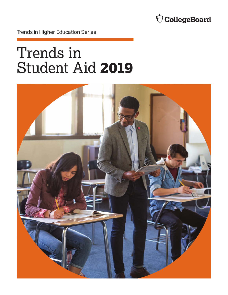

Trends in Higher Education Series

# Trends in Student Aid **2019**

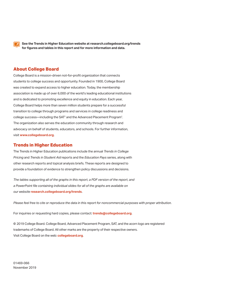

**See the Trends in Higher Education website at [research.collegeboard.org/trends](http://research.collegeboard.org/trends) for figures and tables in this report and for more information and data.** 

### **About College Board**

College Board is a mission-driven not-for-profit organization that connects students to college success and opportunity. Founded in 1900, College Board was created to expand access to higher education. Today, the membership association is made up of over 6,000 of the world's leading educational institutions and is dedicated to promoting excellence and equity in education. Each year, College Board helps more than seven million students prepare for a successful transition to college through programs and services in college readiness and college success—including the SAT® and the Advanced Placement Program® . The organization also serves the education community through research and advocacy on behalf of students, educators, and schools. For further information, visit **[www.collegeboard.org](http://www.collegeboard.org)**.

### **Trends in Higher Education**

Pricing and Trends in Student Aid reports and the Education Pays series, along with The Trends in Higher Education publications include the annual *Trends in College Pricing* and *Trends in Student Aid* reports and the *Education Pays* series, along with other research reports and topical analysis briefs. These reports are designed to provide a foundation of evidence to strengthen policy discussions and decisions.

*The tables supporting all of the graphs in this report, a PDF version of the report, and a PowerPoint file containing individual slides for all of the graphs are available on our website* **[research.collegeboard.org/trends](http://research.collegeboard.org/trends)**.

*Please feel free to cite or reproduce the data in this report for noncommercial purposes with proper attribution.* 

For inquiries or requesting hard copies, please contact: **[trends@collegeboard.org](mailto:trends@collegeboard.org)**.

© 2019 College Board. College Board, Advanced Placement Program, SAT, and the acorn logo are registered trademarks of College Board. All other marks are the property of their respective owners. Visit College Board on the web: **[collegeboard.org](http://collegeboard.org)**.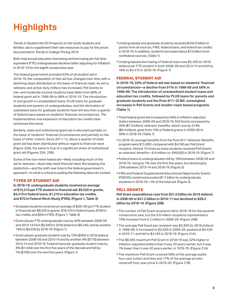# <span id="page-2-0"></span>**Highlights**

*Trends in Student Aid 2019* reports on the funds students and families use to supplement their own resources to pay for the prices documented in *Trends in College Pricing 2019*.

Both total annual education borrowing and borrowing per full-time equivalent (FTE) undergraduate declined (after adjusting for inflation) in 2018-19 for the eighth consecutive year.

The federal government provided 62% of all student aid in 2018-19; the composition of that aid has changed over time, with a declining share distributed on the basis of financial need. As aid to veterans and active-duty military has increased, Pell Grants to low- and moderate-income students have fallen from 80% of federal grant aid in 1998-99 to 68% in 2018-19. The introduction of and growth in unsubsidized loans, PLUS loans for graduate students and parents of undergraduates, and the elimination of subsidized loans for graduate students have left less than a quarter of federal loans based on students' financial circumstances. The implementation and expansion of education tax credits have reinforced this trend.

Similarly, state and institutional grant aid is allocated partially on the basis of students' financial circumstances and partially on the basis of other criteria. Since 2011-12, about a quarter of state grant aid has been distributed without regard to financial need (Figure 23A); the same is true of a significant share of institutional grant aid (Figures 25A, 25B).

Some of the non-need-based aid—likely including much of the aid to veterans—does help meet financial need. But keeping this distinction—and the shift over time in the federal government's approach—in mind is critical to putting the following data into context.

### **TYPES OF STUDENT AID**

**In 2018-19, undergraduate students received an average of \$15,210 per FTE student in financial aid: \$9,520 in grants, \$4,410 in federal loans, \$1,210 in education tax credits, and \$70 in Federal Work-Study (FWS). (Figure 1, Table 3)** 

- Graduate students received an average of \$28,140 per FTE student in financial aid: \$8,920 in grants, \$18,470 in federal loans, \$700 in tax credits, and \$50 in FWS. (Figure 1, Table 3)
- Grant aid per FTE undergraduate rose by 40% between 2008-09 and 2013-14 from \$5,940 (in 2018 dollars) to \$8,340, and by another 14% to \$9,520 by 2018-19. (Figure 1)
- Grant aid per graduate student rose by 13% (\$950 in 2018 dollars) between 2008-09 and 2013-14 and by another 9% (\$710) between 2013-14 and 2018-19. Federal loans per graduate student rose by 8% (\$1,440) over the first five years of the decade and fell by 1% (\$100) over the next five years. (Figure 1)
- Undergraduate and graduate students received \$246.0 billion in grants from all sources, FWS, federal loans, and federal tax credits in 2018-19. In addition, students borrowed about \$13 billion from nonfederal sources. (Table 1)
- Undergraduate borrowing of federal loans was \$5,400 (in 2018 dollars) per FTE student in both 2008-09 and 2013-14 and fell by 18% to \$4,410 in 2018-19. (Figure 1)

### **FEDERAL STUDENT AID**

**In 2018-19, 33% of federal aid was based on students' financial circumstances—a decline from 91% in 1988-89 and 58% in 1998-99. The introduction of unsubsidized student loans and education tax credits, followed by PLUS loans for parents and graduate students and the Post-9/11 GI Bill, outweighed increases in Pell Grants and smaller need-based programs. (Table 1)** 

- Total federal grant aid increased by 56% in inflation-adjusted dollars between 2008-09 and 2018-19. Pell Grants increased by 35% (\$7.3 billion); veterans' benefits, which rose by 214% (\$8.4 billion), grew from 15% of federal grants in 2008-09 to 30% in 2018-19. (Table 1)
- In 2018-19, average benefits from the Post-9/11 Veterans' Benefits program were \$15,990, compared with \$4,160 per Pell Grant recipient. Almost 10 times as many students received Pell Grants as veterans' benefits—6.8 million vs. 699,000 in 2018-19. (Figure 7)
- Federal loans to undergraduates fell by 18% between 2008-09 and 2018-19, rising by 7% over the first five years, but declining by 23% between 2013-14 and 2018-19. (Figure 3)
- FWS and Federal Supplemental Educational Opportunity Grants (FSEOG) combined provided \$1.7 billion to undergraduate students in 2018-19—1% of the total aid. (Figure 3)

### **PELL GRANTS**

**Pell Grant expenditures rose from \$21.0 billion (in 2018 dollars) in 2008-09 to \$41.2 billion in 2010-11 but declined to \$28.2 billion by 2018-19. (Figure 20B)** 

- The number of Pell Grant recipients fell in 2018-19 for the seventh consecutive year, but the 6.8 million recipients represented a 10% increase from 6.2 million in 2008-09. (Figure 20B)
- The average Pell Grant per recipient was \$2,900 (in 2018 dollars) in 1998-99. It increased to \$3,400 in 2008-09, peaked at \$4,430 in 2010-11, and fell to \$4,160 in 2018-19. (Figure 21A)
- The \$6,095 maximum Pell Grant in 2018-19 was 32% higher in inflation-adjusted dollars than it was 20 years earlier, but it was 1% lower than it was 40 years earlier, in 1978-79. (Figure 21A)
- **The maximum Pell Grant covered 59% of the average public** four-year tuition and fees and 17% of the average private nonprofit four-year price in 2019-20. (Figure 21B)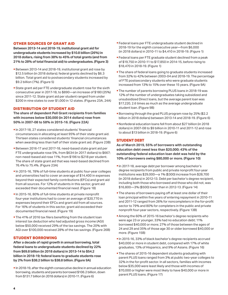### **OTHER SOURCES OF GRANT AID**

**Between 2013-14 and 2018-19, institutional grant aid for undergraduate students increased by \$10.8 billion (26%) in 2018 dollars, rising from 38% to 45% of total grants (and from 21% to 28% of total financial aid) to undergraduates. (Figure 3)**

- Between 2013-14 and 2018-19, institutional grant aid rose by \$12.5 billion (in 2018 dollars); federal grants declined by \$6.3 billion. Total grant aid to postsecondary students increased by \$9.2 billion (7%). (Figure 5)
- State grant aid per FTE undergraduate student rose for the sixth consecutive year in 2017-18, to \$890—an increase of \$180 (25%) since 2011-12. State grant aid per student ranged from under \$200 in nine states to over \$1,000 in 12 states. (Figures 23A, 24A)

### **DISTRIBUTION OF STUDENT AID**

**The share of dependent Pell Grant recipients from families with incomes below \$30,000 (in 2014 dollars) rose from 50% in 2007-08 to 58% in 2015-16. (Figure 22A)** 

- In 2017-18, 27 states considered students' financial circumstances in allocating at least 95% of their state grant aid. Thirteen states considered students' financial circumstances when awarding less than half of their state grant aid. (Figure 23B)
- Between 2016-17 and 2017-18, need-based state grant aid per FTE undergraduate rose 5%, from \$634 (in 2017 dollars) to \$667; non-need-based aid rose 11%, from \$196 to \$218 per student. The share of state grant aid that was need-based declined from 76.4% to 75.4%. (Figure 23A)
- In 2015-16, 78% of full-time students at public four-year colleges and universities had to cover an average of \$14,400 in expenses beyond their expected family contributions (EFCs) and grant aid from all sources. For 12% of students in this sector, grant aid exceeded their documented financial need. (Figure 18)
- In 2015-16, 80% of full-time students at private nonprofit four-year institutions had to cover an average of \$20,770 in expenses beyond their EFCs and grant aid from all sources. For 16% of students in this sector, grant aid exceeded their documented financial need. (Figure 19)
- **The 41% of 2016 tax filers benefiting from the student loan** interest tax deduction who had adjusted gross income (AGI) below \$50,000 received 29% of the tax savings. The 20% with AGI over \$100,000 received 28% of the tax savings. (Figure 26B)

### **STUDENT BORROWING**

**After a decade of rapid growth in annual borrowing, total federal loans to undergraduate students declined by 22% from \$69.8 billion (in 2018 dollars) in 2013-14 to \$54.2 billion in 2018-19; federal loans to graduate students rose by 2% from \$38.2 billion to \$38.8 billion. (Figure 9A)** 

In 2018-19, after the eighth consecutive decline in annual education borrowing, students and parents borrowed \$106.2 billion, down from \$131.7 billion (in 2018 dollars) in 2010-11. (Figure 6)

- Federal loans per FTE undergraduate student declined in 2018-19 for the eighth consecutive year—from \$6,000 (in 2018 dollars) in 2010-11 to \$4,410 in 2018-19. (Figure 1)
- Federal loans per FTE graduate student declined from a peak of \$19,750 in 2010-11 to \$17,850 in 2014-15, before rising to \$18,470 in 2018-19. (Figure 1)
- **The share of federal loans going to graduate students increased** from 32% to 42% between 2003-04 and 2018-19. The percentage of FTE postsecondary students who were graduate students increased from 13% to 15% over these 15 years. (Figure 9A)
- **The number of parents borrowing PLUS loans in 2018-19 was** 12% of the number of undergraduates taking subsidized and unsubsidized Direct loans, but the average parent loan was \$17,220, 2.6 times as much as the average undergraduate student loan. (Figure 9B)
- Borrowing through the grad PLUS program rose by 25% (\$2.2) billion in 2018 dollars) between 2013-14 and 2018-19. (Figure 6)
- Nonfederal education loans fell from about \$27 billion (in 2018 dollars) in 2007-08 to \$9 billion in 2010-11 and 2011-12 and rose to about \$13 billion in 2018-19. (Figure 6)

### **STUDENT DEBT**

**As of March 2019, 55% of borrowers with outstanding education debt owed less than \$20,000; 43% of the outstanding federal education loan debt was held by the 10% of borrowers owing \$80,000 or more. (Figure 10)** 

- In 2017-18, average debt per borrower among bachelor's degree recipients from public and private nonprofit four-year institutions was \$29,000—a 1% (\$300) increase from \$28,700 (in 2018 dollars) in 2012-13. Debt per bachelor's degree recipient, including both those who borrowed and those who did not, was \$16,800—3% (\$500) lower than in 2012-13. (Figure 14)
- **The shares of borrowers paying off at least one dollar of their** loan principal within five years of entering repayment in 2010-11 and 2011-12 ranged from 26% for noncompleters in the for-profit sector to 79% and 80% for completers in the public and private nonprofit four-year sectors, respectively. (Figure 13B)
- Among the 60% of 2015-16 bachelor's degree recipients who were age 23 or younger, 33% had no education debt; 11% borrowed \$40,000 or more; 27% of those between the ages of 24 and 29 and 35% of those age 30 or older borrowed \$40,000 or more. (Figure 15B)
- In 2015-16, 33% of black bachelor's degree recipients accrued \$40,000 or more in student debt, compared with 17% of white graduates, 13% of Hispanics, and 9% of Asians. (Figure 16)
- **The shares of 2015-16 dependent students graduating with** parent PLUS loans ranged from 3% at public two-year colleges to 32% in the for-profit sector. In all sectors, families with incomes below \$35,000 were least likely and those with incomes of \$70,000 or higher were most likely to have \$40,000 or more in parent PLUS loans. (Figure 17)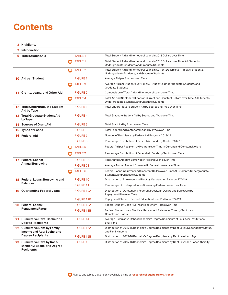### **Contents**

|     | 3 Highlights                                                                            |   |                   |                                                                                                                                          |
|-----|-----------------------------------------------------------------------------------------|---|-------------------|------------------------------------------------------------------------------------------------------------------------------------------|
|     | 7 Introduction                                                                          |   |                   |                                                                                                                                          |
| 9   | <b>Total Student Aid</b>                                                                |   | <b>TABLE 1</b>    | Total Student Aid and Nonfederal Loans in 2018 Dollars over Time                                                                         |
|     |                                                                                         | ٢ | <b>TABLE 1</b>    | Total Student Aid and Nonfederal Loans in 2018 Dollars over Time: All Students,<br>Undergraduate Students, and Graduate Students         |
|     |                                                                                         | ₽ | <b>TABLE 2</b>    | Total Student Aid and Nonfederal Loans in Current Dollars over Time: All Students,<br>Undergraduate Students, and Graduate Students      |
| 10. | Aid per Student                                                                         |   | <b>FIGURE 1</b>   | Average Aid per Student over Time                                                                                                        |
|     |                                                                                         | □ | <b>TABLE 3</b>    | Average Aid per Student over Time: All Students, Undergraduate Students, and<br><b>Graduate Students</b>                                 |
|     | 11 Grants, Loans, and Other Aid                                                         |   | <b>FIGURE 2</b>   | Composition of Total Aid and Nonfederal Loans over Time                                                                                  |
|     |                                                                                         | ⋥ | <b>TABLE 4</b>    | Total Aid and Nonfederal Loans in Current and Constant Dollars over Time: All Students,<br>Undergraduate Students, and Graduate Students |
|     | 12 Total Undergraduate Student<br>Aid by Type                                           |   | <b>FIGURE 3</b>   | Total Undergraduate Student Aid by Source and Type over Time                                                                             |
|     | <b>13 Total Graduate Student Aid</b><br>by Type                                         |   | <b>FIGURE 4</b>   | Total Graduate Student Aid by Source and Type over Time                                                                                  |
|     | <b>14 Sources of Grant Aid</b>                                                          |   | <b>FIGURE 5</b>   | Total Grant Aid by Source over Time                                                                                                      |
|     | <b>15 Types of Loans</b>                                                                |   | <b>FIGURE 6</b>   | Total Federal and Nonfederal Loans by Type over Time                                                                                     |
| 16  | <b>Federal Aid</b>                                                                      |   | <b>FIGURE 7</b>   | Number of Recipients by Federal Aid Program, 2018-19                                                                                     |
|     |                                                                                         |   | <b>FIGURE 8</b>   | Percentage Distribution of Federal Aid Funds by Sector, 2017-18                                                                          |
|     |                                                                                         | پ | <b>TABLE 5</b>    | Federal Aid per Recipient by Program over Time in Current and Constant Dollars                                                           |
|     |                                                                                         |   | <b>TABLE 7</b>    | Percentage Distribution of Federal Aid Funds by Sector over Time                                                                         |
|     | 17 Federal Loans:                                                                       |   | <b>FIGURE 9A</b>  | Total Annual Amount Borrowed in Federal Loans over Time                                                                                  |
|     | <b>Annual Borrowing</b>                                                                 |   | <b>FIGURE 9B</b>  | Average Annual Amount Borrowed in Federal Loans over Time                                                                                |
|     |                                                                                         | ₽ | <b>TABLE 6</b>    | Federal Loans in Current and Constant Dollars over Time: All Students, Undergraduate<br>Students, and Graduate Students                  |
|     | 18 Federal Loans: Borrowing and                                                         |   | <b>FIGURE 10</b>  | Distribution of Borrowers and Debt by Outstanding Balance, FY2019                                                                        |
|     | <b>Balances</b>                                                                         |   | <b>FIGURE 11</b>  | Percentage of Undergraduates Borrowing Federal Loans over Time                                                                           |
|     | <b>19 Outstanding Federal Loans</b>                                                     |   | <b>FIGURE 12A</b> | Distribution of Outstanding Federal Direct Loan Dollars and Borrowers by<br>Repayment Plan over Time                                     |
|     |                                                                                         |   | <b>FIGURE 12B</b> | Repayment Status of Federal Education Loan Portfolio, FY2019                                                                             |
|     | 20 Federal Loans:                                                                       |   | <b>FIGURE 13A</b> | Federal Student Loan Five-Year Repayment Rates over Time                                                                                 |
|     | <b>Repayment Rates</b>                                                                  |   | FIGURE 13B        | Federal Student Loan Five-Year Repayment Rates over Time by Sector and<br><b>Completion Status</b>                                       |
|     | 21 Cumulative Debt: Bachelor's<br><b>Degree Recipients</b>                              |   | FIGURE 14         | Average Cumulative Debt of Bachelor's Degree Recipients at Four-Year Institutions<br>over Time                                           |
|     | 22 Cumulative Debt by Family<br>Income and Age: Bachelor's                              |   | FIGURE 15A        | Distribution of 2015-16 Bachelor's Degree Recipients by Debt Level, Dependency Status,<br>and Family Income                              |
|     | <b>Degree Recipients</b>                                                                |   | <b>FIGURE 15B</b> | Distribution of 2015-16 Bachelor's Degree Recipients by Debt Level and Age                                                               |
|     | 23 Cumulative Debt by Race/<br><b>Ethnicity: Bachelor's Degree</b><br><b>Recipients</b> |   | FIGURE 16         | Distribution of 2015-16 Bachelor's Degree Recipients by Debt Level and Race/Ethnicity                                                    |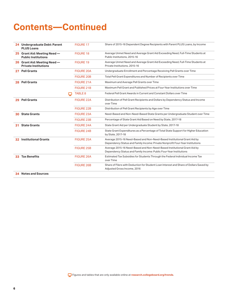### **Contents—Continued**

|     | 24 Undergraduate Debt: Parent<br><b>PLUS Loans</b>          | <b>FIGURE 17</b>  | Share of 2015-16 Dependent Degree Recipients with Parent PLUS Loans, by Income                                                                            |
|-----|-------------------------------------------------------------|-------------------|-----------------------------------------------------------------------------------------------------------------------------------------------------------|
|     | 25 Grant Aid: Meeting Need -<br><b>Public Institutions</b>  | <b>FIGURE 18</b>  | Average Unmet Need and Average Grant Aid Exceeding Need, Full-Time Students at<br>Public Institutions, 2015-16                                            |
|     | 26 Grant Aid: Meeting Need -<br><b>Private Institutions</b> | FIGURE 19         | Average Unmet Need and Average Grant Aid Exceeding Need, Full-Time Students at<br>Private Institutions, 2015-16                                           |
| 27  | <b>Pell Grants</b>                                          | <b>FIGURE 20A</b> | Undergraduate Enrollment and Percentage Receiving Pell Grants over Time                                                                                   |
|     |                                                             | <b>FIGURE 20B</b> | Total Pell Grant Expenditures and Number of Recipients over Time                                                                                          |
| 28  | <b>Pell Grants</b>                                          | FIGURE 21A        | Maximum and Average Pell Grants over Time                                                                                                                 |
|     |                                                             | FIGURE 21B        | Maximum Pell Grant and Published Prices at Four-Year Institutions over Time                                                                               |
|     | ڀ                                                           | <b>TABLE 8</b>    | Federal Pell Grant Awards in Current and Constant Dollars over Time                                                                                       |
| 29. | <b>Pell Grants</b>                                          | <b>FIGURE 22A</b> | Distribution of Pell Grant Recipients and Dollars by Dependency Status and Income<br>over Time                                                            |
|     |                                                             | <b>FIGURE 22B</b> | Distribution of Pell Grant Recipients by Age over Time                                                                                                    |
| 30. | <b>State Grants</b>                                         | <b>FIGURE 23A</b> | Need-Based and Non-Need-Based State Grants per Undergraduate Student over Time                                                                            |
|     |                                                             | <b>FIGURE 23B</b> | Percentage of State Grant Aid Based on Need by State, 2017-18                                                                                             |
| 31  | <b>State Grants</b>                                         | <b>FIGURE 24A</b> | State Grant Aid per Undergraduate Student by State, 2017-18                                                                                               |
|     |                                                             | <b>FIGURE 24B</b> | State Grant Expenditures as a Percentage of Total State Support for Higher Education<br>by State, 2017-18                                                 |
| 32. | <b>Institutional Grants</b>                                 | <b>FIGURE 25A</b> | Average 2015-16 Need-Based and Non-Need-Based Institutional Grant Aid by<br>Dependency Status and Family Income: Private Nonprofit Four-Year Institutions |
|     |                                                             | <b>FIGURE 25B</b> | Average 2015-16 Need-Based and Non-Need-Based Institutional Grant Aid by<br>Dependency Status and Family Income: Public Four-Year Institutions            |
| 33. | <b>Tax Benefits</b>                                         | <b>FIGURE 26A</b> | Estimated Tax Subsidies for Students Through the Federal Individual Income Tax<br>over Time                                                               |
|     |                                                             | <b>FIGURE 26B</b> | Share of Filers with Deduction for Student Loan Interest and Share of Dollars Saved by<br>Adjusted Gross Income, 2016                                     |

**34 [Notes and Sources](#page-33-0)**

Figures and tables that are only available online at **research.collegeboard.org/trends**.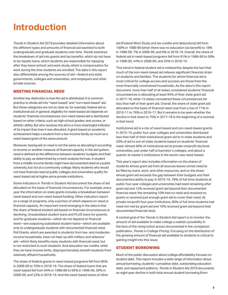### <span id="page-6-0"></span>**Introduction**

*Trends in Student Aid 2019* provides detailed information about the different types and amounts of financial aid awarded to both undergraduate and graduate students over time. *Trends* examines the breakdown of aid into grants and tax benefits, which do not have to be repaid; loans, which students are responsible for repaying after they leave school; and work-study, which is compensation for work during the time students are enrolled. The data in this report also differentiate among the sources of aid—federal and state governments, colleges and universities, and employers and other private sources.

### **MEETING FINANCIAL NEED**

Another key distinction is how the aid is distributed. It is common practice to divide aid into "need-based" and "non-need-based" aid. But these categories are not as clear as, for example, federal aid vs. institutional aid. In general, eligibility for need-based aid depends on students' financial circumstances; non-need-based aid is distributed based on other criteria, such as high school grades, test scores, or athletic ability. But who receives the aid is a more meaningful indicator of its impact than how it was allocated. A grant based on academic achievement helps a student from a low-income family as much as a need-based grant of the same amount.

Moreover, basing aid on need is not the same as allocating it according to income or another measure of financial capacity. In the aid system, need is defined as the difference between students' budgets and their ability to pay, as determined by a need-analysis formula. A student from a middle-income family might have documented need at a public university, but not at a community college. Many students who would not have financial need at public colleges and universities qualify for need-based aid at higher-price private institutions.

Some indicators in *Trends in Student Aid* document the share of aid allocated on the basis of financial circumstances. For example, every year the information on state grants includes a breakdown between need-based and non-need-based funding. Other indicators report on a range of programs, only a portion of which depend on need or financial capacity. An important trend emerging in the data is that the share of federal student aid based on financial circumstances is declining. Unsubsidized student loans and PLUS loans for parents and for graduate students—which do not depend on financial need—are outpacing subsidized student loans—which are available only to undergraduate students with documented financial need. Pell Grants, which are awarded to students from low- and moderateincome households, have not kept up with military and veterans' aid—which likely benefits many students with financial need, but is not restricted to such students. And education tax credits, while they do have income limits, disproportionately benefit students from relatively affluent households.

The share of federal grants in need-based programs fell from 85% in 2008-09 to 70% in 2018-19. The share of federal loans that are need-based fell from 94% in 1988-89 to 56% in 1998-99, 39% in 2008-09, and 22% in 2018-19. And the need-based share of other

aid (Federal Work Study and tax credits and deductions) fell from 100% in 1988-89 (when there was no education tax benefit) to 18% in 1998-99, 7% in 2008-09, and 6% in 2018-19. Overall, the share of federal aid in need-based programs fell from 91% in 1988-89 to 58% in 1998-99, 44% in 2008-09, and 33% in 2018-19.

This trend in federal student aid is noteworthy despite the fact that much of the non-need-based aid relieves significant financial strain on students and families. The students for whom financial aid is most critical for college access and success are those from the most financially constrained households. As the data in this report document, more than half of all states considered students' financial circumstances in allocating at least 95% of their state grant aid in 2017-18, while 13 states considered these circumstances for less than half of their grant aid. Overall, the share of state grant aid allocated on the basis of financial need rose from a low of 71% in 2010-11 to 76% in 2016-17. But it remains to be seen whether the decline in that share to 75% in 2017-18 is the beginning of a reversal in that trend.

Institutional aid is a mix of need-based and non-need-based grants. In 2015-16, public four-year colleges and universities distributed less than half of their institutional grant aid to in-state students and 20% of aid to out-of-state students based on students' financial need. Almost 60% of institutional aid at private nonprofit doctoral universities, just under half at bachelor's colleges, and about a quarter at master's institutions in the sector was need-based.

This year's report also includes information on the shares of students whose grant aid from all sources leaves unmet need to be filled by loans, work, and other resources, and on the share whose grant aid exceeds the gap between their budgets and their documented ability to pay. In 2015-16, 78% of full-time students at public four-year colleges and universities had need remaining after grant aid and 12% received grant aid beyond their documented financial need; the remaining 10% had no need and received no grants or received just enough grant aid to cover their need. At private nonprofit four-year institutions, 80% of full-time students had need not met by grant aid and 16% received grant aid beyond their documented financial need.

A central goal of the *Trends in Student Aid* report is to monitor the amount of aid available to make college a realistic possibility in the face of the rising tuition prices documented in the companion publication, *Trends in College Pricing*. Focusing on the distribution of the growing amount of financial aid available to students is critical to gaining insight into this issue.

### **STUDENT BORROWING**

Much of the public discussion about college affordability focuses on student debt. This report includes a wide range of information about annual borrowing, students' cumulative debt, outstanding education debt, and repayment patterns. *Trends in Student Aid 2019* documents an eight-year decline in both total annual student borrowing (from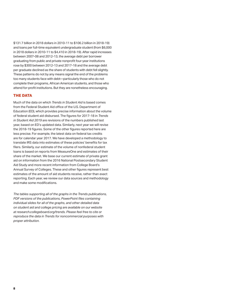\$131.7 billion in 2018 dollars in 2010-11 to \$106.2 billion in 2018-19) and loans per full-time equivalent undergraduate student (from \$6,000 in 2018 dollars in 2010-11 to \$4,410 in 2018-19). After rapid increases between 2007-08 and 2012-13, the average debt per borrower graduating from public and private nonprofit four-year institutions rose by \$300 between 2012-13 and 2017-18 and the average debt per graduate declined as the share of students with debt fell slightly. These patterns do not by any means signal the end of the problems too many students face with debt—particularly those who do not complete their programs, African American students, and those who attend for-profit institutions. But they are nonetheless encouraging.

### **THE DATA**

Much of the data on which *Trends in Student Aid* is based comes from the Federal Student Aid office of the U.S. Department of Education (ED), which provides precise information about the volume of federal student aid disbursed. The figures for 2017-18 in *Trends in Student Aid 2019* are revisions of the numbers published last year, based on ED's updated data. Similarly, next year we will revise the 2018-19 figures. Some of the other figures reported here are less precise. For example, the latest data on federal tax credits are for calendar year 2017. We have developed a methodology to translate IRS data into estimates of these policies' benefits for tax filers. Similarly, our estimate of the volume of nonfederal student loans is based on reports from MeasureOne and estimates of their share of the market. We base our current estimate of private grant aid on information from the 2016 National Postsecondary Student Aid Study and more recent information from College Board's Annual Survey of Colleges. These and other figures represent best estimates of the amount of aid students receive, rather than exact reporting. Each year, we review our data sources and methodology and make some modifications.

*The tables supporting all of the graphs in the Trends publications, PDF versions of the publications, PowerPoint files containing individual slides for all of the graphs, and other detailed data on student aid and college pricing are available on our website at [research.collegeboard.org/trends](https://research.collegeboard.org/trends). Please feel free to cite or reproduce the data in Trends for noncommercial purposes with proper attribution.*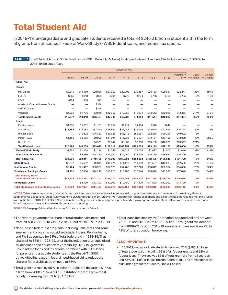# <span id="page-8-0"></span>**Total Student Aid**

In 2018-19, undergraduate and graduate students received a total of \$246.0 billion in student aid in the form of grants from all sources, Federal Work-Study (FWS), federal loans, and federal tax credits.

 TABLE 1 Total Student Aid and Nonfederal Loans in 2018 Dollars (in Millions), Undergraduate and Graduate Students Combined, 1988-89 to 2018-19, Selected Years

|                                                                     | <b>Academic Year</b> |           |           |           |           |           |           |           |                      |                     |                     |
|---------------------------------------------------------------------|----------------------|-----------|-----------|-----------|-----------|-----------|-----------|-----------|----------------------|---------------------|---------------------|
|                                                                     | 88-89                | 98-99     | 08-09     | $13 - 14$ | $14 - 15$ | $15 - 16$ | $16 - 17$ | $17 - 18$ | Preliminary<br>18-19 | 10-Year<br>% Change | 30-Year<br>% Change |
| <b>Federal Aid</b>                                                  |                      |           |           |           |           |           |           |           |                      |                     |                     |
| Grants                                                              |                      |           |           |           |           |           |           |           |                      |                     |                     |
| <b>Pell Grants</b>                                                  | \$9,518              | \$11.169  | \$20,956  | \$33,957  | \$32,395  | \$30,157  | \$28,163  | \$29,517  | \$28,244             | 35%                 | 197%                |
| <b>FSEOG</b>                                                        | \$869                | \$948     | \$868     | \$791     | \$775     | \$774     | \$768     | \$755     | \$755                | $-13%$              | $-13%$              |
| LEAP                                                                | \$154                | \$38      | \$73      | -         |           |           |           |           |                      |                     |                     |
| Academic Competitiveness Grants                                     |                      | -         | \$389     |           |           |           |           |           |                      |                     |                     |
| <b>SMART Grants</b>                                                 |                      | -         | \$229     |           |           |           |           |           | -                    |                     |                     |
| Veterans                                                            | \$1,836              | \$1,786   | \$3,940   | \$12,952  | \$13,068  | \$13,334  | \$12,613  | \$12,015  | \$12,355             | 214%                | 573%                |
| <b>Total Federal Grants</b>                                         | \$12,377             | \$13,940  | \$26,454  | \$47,700  | \$46,238  | \$44,264  | \$41,544  | \$42,287  | \$41,354             | 56%                 | 234%                |
| Loans                                                               |                      |           |           |           |           |           |           |           |                      |                     |                     |
| Perkins Loans                                                       | \$1,858              | \$1,652   | \$1,101   | \$1,264   | \$1,227   | \$1.104   | \$928     | \$649     | -                    |                     |                     |
| Subsidized                                                          | \$17,353             | \$25,183  | \$37,840  | \$28,527  | \$26,086  | \$24,239  | \$22,678  | \$21,529  | \$20,198             | $-47%$              | 16%                 |
| Unsubsidized                                                        | -                    | \$16,832  | \$46,313  | \$59,685  | \$55,773  | \$53,561  | \$52,276  | \$50,218  | \$49,002             | 6%                  |                     |
| Parent PLUS                                                         | \$1,192              | \$4,566   | \$8,808   | \$11,094  | \$11,335  | \$12,631  | \$13,161  | \$13,125  | \$12,898             | 46%                 | 982%                |
| <b>Grad PLUS</b>                                                    | -                    | -         | \$4,957   | \$8,747   | \$8,833   | \$9,338   | \$10,100  | \$10,599  | \$10,957             | 121%                |                     |
| <b>Total Federal Loans</b>                                          | \$20,403             | \$48,233  | \$99,019  | \$109,317 | \$103,254 | \$100,873 | \$99,143  | \$96,120  | \$93,056             | $-6%$               | 356%                |
| <b>Federal Work-Study</b>                                           | \$1,251              | \$1,258   | \$1,116   | \$1,058   | \$1,038   | \$1,036   | \$1,027   | \$1,010   | \$1,010              | $-9%$               | $-19%$              |
| <b>Education Tax Benefits</b>                                       | —                    | \$5,880   | \$14,170  | \$19,930  | \$19,060  | \$18,130  | \$16,770  | \$16,630  | \$16,300             | 15%                 |                     |
| <b>Total Federal Aid</b>                                            | \$34,031             | \$69,311  | \$140,759 | \$178,005 | \$169,591 | \$164,303 | \$158,485 | \$156,046 | \$151,720            | 8%                  | 346%                |
| <b>State Grants</b>                                                 | \$3,647              | \$5,692   | \$9,811   | \$10,721  | \$11,115  | \$11,339  | \$11,507  | \$12,288  | \$12,589             | 28%                 | 245%                |
| <b>Institutional Grants</b>                                         | \$8,464              | \$21,417  | \$36,297  | \$52,126  | \$54,768  | \$57,720  | \$60,612  | \$62,984  | \$64,666             | 78%                 | 664%                |
| <b>Private and Employer Grants</b>                                  | \$1,490              | \$7,030   | \$14,240  | \$15,920  | \$15,980  | \$16,340  | \$16,610  | \$17,030  | \$17,040             | 20%                 | 1044%               |
| <b>Total Federal, State,</b><br><b>Institutional, and Other Aid</b> | \$47.632             | \$103,451 | \$201.107 | \$256,772 | \$251,453 | \$249.703 | \$247,215 | \$248,348 | \$246,016            | 22%                 | 416%                |
| <b>Nonfederal Loans</b>                                             |                      | \$4,500   | \$13,300  | \$10,300  | \$10,700  | \$11,300  | \$11,800  | \$12,300  | \$13,100             | $-2%$               |                     |
| <b>Total Student Aid and Nonfederal Loans</b>                       | \$47,632             | \$107,951 | \$214,407 | \$267,072 | \$262,153 | \$261,003 | \$259,015 | \$260,648 | \$259,116            | 21%                 | 444%                |

NOTES: Table 1 excludes a variety of small federal grant and loan programs as well as some small programs for veterans and members of the military. Federal Supplemental Educational Opportunity Grant (FSEOG) and Federal Work-Study (FWS) funds reflect federal allocations and do not include the required matching funds from institutions. 2018-19 FSEOG, FWS, tax benefits, state grants, institutional grants, private and employer grants, and nonfederal loans are estimated from earlier data. Components may not sum to totals because of rounding.

SOURCES: See page 34 for a list of sources for data included in Table 1.

- **The federal government's share of total student aid increased** from 70% in 2008-09 to 74% in 2010-11 but fell to 62% in 2018-19.
- Need-based federal aid programs, including Pell Grants and some smaller grant programs, subsidized student loans, Perkins loans, and FWS accounted for 91% of total federal aid in 1988-89. That share fell to 58% in 1998-99, after the introduction of unsubsidized student loans and education tax credits. By 2018-19, growth in unsubsidized loans and tax credits, combined with PLUS loans for parents and graduate students and the Post-9/11 GI Bill, outweighed increases in federal need-based aid to reduce the share of federal aid based on need to 33%.
- Total grant aid rose by 56% (in inflation-adjusted dollars) to \$135.6 billion from 2008-09 to 2018-19. Institutional grants grew most rapidly, increasing by 78% to \$64.7 billion.

Total loans declined by 5% (in inflation-adjusted dollars) between 2008-09 and 2018-19, to \$106.2 billion. Throughout the decade from 2008-09 through 2018-19, nonfederal loans made up 7% to 12% of total education borrowing.

#### **ALSO IMPORTANT:**

In 2018-19, undergraduate students received 76% (\$186.9 billion) of total student aid, including 96% of all federal grants and 58% of federal loans. They received 86% of total grant aid from all sources and 62% of all loans, including nonfederal loans. The remainder of the aid funded graduate students. (Table 1 online)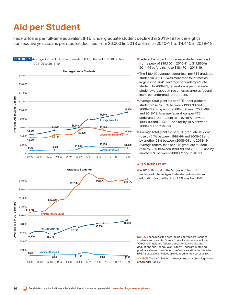# <span id="page-9-0"></span>**Aid per Student**

Federal loans per full-time equivalent (FTE) undergraduate student declined in 2018-19 for the eighth consecutive year. Loans per student declined from \$6,000 (in 2018 dollars) in 2010-11 to \$4,410 in 2018-19.





- Federal loans per FTE graduate student declined from a peak of \$19,750 in 2010-11 to \$17,850 in 2014-15 before rising to \$18,470 in 2018-19.
- **The \$18,470 average federal loan per FTE graduate** student in 2018-19 was more than four times as large as the \$4,410 average per undergraduate student. In 2008-09, federal loans per graduate student were about three times as large as federal loans per undergraduate student.
- Average total grant aid per FTE undergraduate student rose by 36% between 1998-99 and 2008-09 and by another 60% between 2008-09 and 2018-19. Average federal loan per FTE undergraduate student rose by 48% between 1998-99 and 2008-09 and fell by 18% between 2008-09 and 2018-19.
- Average total grant aid per FTE graduate student rose by 24% between 1998-99 and 2008-09 and by another 23% between 2008-09 and 2018-19. Average federal loan per FTE graduate student rose by 60% between 1998-99 and 2008-09 and by another 8% between 2008-09 and 2018-19.

### **ALSO IMPORTANT:**

In 2018-19, most of the "Other Aid" for both undergraduate and graduate students was from education tax credits. About 6% was from FWS.

NOTES: Loans reported here include only federal loans to students and parents. Grants from all sources are included. "Other Aid" includes federal education tax credits and deductions and Federal Work-Study. Undergraduate and graduate shares of some forms of aid are estimates based on NPSAS data. Dollar values are rounded to the nearest \$10.

SOURCE: *Trends in Student Aid* website (research.collegeboard. org/trends), Table 3.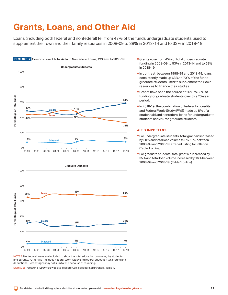### <span id="page-10-0"></span>**Grants, Loans, and Other Aid**

Loans (including both federal and nonfederal) fell from 47% of the funds undergraduate students used to supplement their own and their family resources in 2008-09 to 38% in 2013-14 and to 33% in 2018-19.





NOTES: Nonfederal loans are included to show the total education borrowing by students and parents. "Other Aid" includes Federal Work-Study and federal education tax credits and deductions. Percentages may not sum to 100 because of rounding.

SOURCE: *Trends in Student Aid* website [\(research.collegeboard.org/trends\)](https://research.collegeboard.org/trends), Table 4.

- Grants rose from 45% of total undergraduate funding in 2008-09 to 53% in 2013-14 and to 59% in 2018-19.
- In contrast, between 1998-99 and 2018-19, loans consistently made up 63% to 70% of the funds graduate students used to supplement their own resources to finance their studies.
- Grants have been the source of 26% to 33% of funding for graduate students over this 20-year period.
- In 2018-19, the combination of federal tax credits and Federal Work-Study (FWS) made up 8% of all student aid and nonfederal loans for undergraduate students and 3% for graduate students.

- For undergraduate students, total grant aid increased by 60% and total loan volume fell by 15% between 2008-09 and 2018-19, after adjusting for inflation. (Table 1 online)
- For graduate students, total grant aid increased by 35% and total loan volume increased by 16% between 2008-09 and 2018-19. (Table 1 online)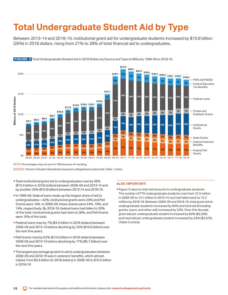# <span id="page-11-0"></span>**Total Undergraduate Student Aid by Type**

Between 2013-14 and 2018-19, institutional grant aid for undergraduate students increased by \$10.8 billion (26%) in 2018 dollars, rising from 21% to 28% of total financial aid to undergraduates.



FIGURE 3 Total Undergraduate Student Aid in 2018 Dollars by Source and Type (in Billions), 1998-99 to 2018-19

NOTE: Percentages may not sum to 100 because of rounding.

SOURCE: *Trends in Student Aid* website [\(research.collegeboard.org/trends\)](https://research.collegeboard.org/trends), Table 1 online.

- Total institutional grant aid to undergraduates rose by 48% (\$13.4 billion in 2018 dollars) between 2008-09 and 2013-14 and by another 26% (\$10.8 billion) between 2013-14 and 2018-19.
- In 1998-99, federal loans made up the largest share of aid to undergraduates—42%; institutional grants were 20% and Pell Grants were 14%. In 2008-09, these shares were 44%, 19%, and 14%, respectively. By 2018-19, federal loans had fallen to 29% of the total, institutional grants had risen to 28%, and Pell Grants were 15% of the total.
- Federal loans rose by 7% (\$4.5 billion in 2018 dollars) between 2008-09 and 2013-14 before declining by 23% (\$16.6 billion) over the next five years.
- Pell Grants rose by 62% (\$13.0 billion in 2018 dollars) between 2008-09 and 2013-14 before declining by 17% (\$5.7 billion) over the next five years.
- **The largest percentage growth in aid to undergraduates between** 2008-09 and 2018-19 was in veterans' benefits, which almost tripled, from \$3.6 billion (in 2018 dollars) in 2008-09 to \$10.5 billion in 2018-19.

### **ALSO IMPORTANT:**

**Figure 3 reports total aid amounts to undergraduate students.** The number of FTE undergraduate students rose from 12.3 million in 2008-09 to 13.1 million in 2013-14, but had fallen back to 12.3 million by 2018-19. Between 2008-09 and 2018-19, total grant aid to undergraduate students increased by 60% and total aid (including grants, loans, and other aid) increased by 23%. Over this decade, grant aid per undergraduate student increased by 60% (\$3,580) and total aid per undergraduate student increased by 23% (\$2,810). (Table 3 online)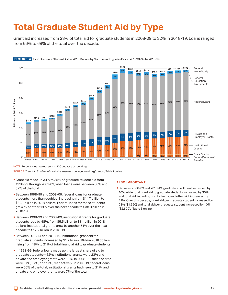# <span id="page-12-0"></span>**Total Graduate Student Aid by Type**

Grant aid increased from 28% of total aid for graduate students in 2008-09 to 32% in 2018-19. Loans ranged from 66% to 68% of the total over the decade.



### FIGURE 4 Total Graduate Student Aid in 2018 Dollars by Source and Type (in Billions), 1998-99 to 2018-19

NOTE: Percentages may not sum to 100 because of rounding.

SOURCE: *Trends in Student Aid* website [\(research.collegeboard.org/trends\)](https://research.collegeboard.org/trends), Table 1 online.

- Grant aid made up 34% to 35% of graduate student aid from 1998-99 through 2001-02, when loans were between 60% and 62% of the total.
- Between 1998-99 and 2008-09, federal loans for graduate students more than doubled, increasing from \$14.7 billion to \$32.7 billion in 2018 dollars. Federal loans for these students grew by another 19% over the next decade to \$38.8 billion in 2018-19.
- Between 1998-99 and 2008-09, institutional grants for graduate students rose by 48%, from \$5.5 billion to \$8.1 billion in 2018 dollars. Institutional grants grew by another 51% over the next decade to \$12.2 billion in 2018-19.
- rising from 18% to 21% of total financial aid to graduate students. Between 2013-14 and 2018-19, institutional grant aid for graduate students increased by \$1.7 billion (16%) in 2018 dollars,
- In 1998-99, federal loans made up the largest share of aid to graduate students—62%; institutional grants were 23% and private and employer grants were 10%. In 2008-09, these shares were 67%, 17%, and 11%, respectively. In 2018-19, federal loans were 66% of the total, institutional grants had risen to 21%, and private and employer grants were 7% of the total.

### **ALSO IMPORTANT:**

Between 2008-09 and 2018-19, graduate enrollment increased by 10% while total grant aid to graduate students increased by 35% and total aid (including grants, loans, and other aid) increased by 21%. Over this decade, grant aid per graduate student increased by 23% (\$1,660) and total aid per graduate student increased by 10% (\$2,600). (Table 3 online)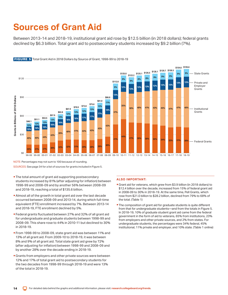# <span id="page-13-0"></span>**Sources of Grant Aid**

Between 2013-14 and 2018-19, institutional grant aid rose by \$12.5 billion (in 2018 dollars); federal grants declined by \$6.3 billion. Total grant aid to postsecondary students increased by \$9.2 billion (7%).



FIGURE 5 Total Grant Aid in 2018 Dollars by Source of Grant, 1998-99 to 2018-19

NOTE: Percentages may not sum to 100 because of rounding. SOURCES: See page 34 for a list of sources for grants included in Figure 5.

- **The total amount of grant aid supporting postsecondary** students increased by 81% (after adjusting for inflation) between 1998-99 and 2008-09 and by another 56% between 2008-09 and 2018-19, reaching a total of \$135.6 billion.
- Almost all of the growth in total grant aid over the last decade occurred between 2008-09 and 2013-14, during which full-time equivalent (FTE) enrollment increased by 7%. Between 2013-14 and 2018-19, FTE enrollment declined by 5%.
- Federal grants fluctuated between 27% and 32% of all grant aid for undergraduate and graduate students between 1998-99 and 2008-09. This share rose to 44% in 2010-11 but declined to 30% in 2018-19.
- From 1998-99 to 2008-09, state grant aid was between 11% and 13% of all grant aid. From 2009-10 to 2018-19, it was between 8% and 9% of all grant aid. Total state grant aid grew by 72% (after adjusting for inflation) between 1998-99 and 2008-09 and by another 28% over the decade ending in 2018-19.
- **Grants from employers and other private sources were between** 12% and 17% of total grant aid to postsecondary students for the two decades from 1998-99 through 2018-19 and were 13% of the total in 2018-19.

- Grant aid for veterans, which grew from \$3.9 billion (in 2018 dollars) to \$12.4 billion over the decade, increased from 15% of federal grant aid in 2008-09 to 30% in 2018-19. At the same time, Pell Grants, which rose from \$21.0 billion to \$28.2 billion, declined from 79% to 68% of the total. (Table 1)
- **The composition of grant aid for graduate students is quite different** from that for undergraduate students—and from the totals in Figure 5. In 2018-19, 10% of graduate student grant aid came from the federal government in the form of aid to veterans, 65% from institutions, 23% from employers and other private sources, and 2% from states. For undergraduate students, the percentages were 34% federal, 45% institutional, 11% private and employer, and 10% state. (Table 1 online)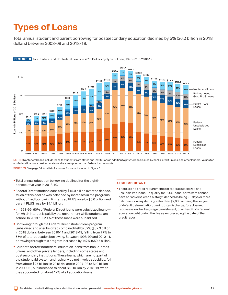# <span id="page-14-0"></span>**Types of Loans**

Total annual student and parent borrowing for postsecondary education declined by 5% (\$6.2 billion in 2018 dollars) between 2008-09 and 2018-19.



FIGURE 6 Total Federal and Nonfederal Loans in 2018 Dollars by Type of Loan, 1998-99 to 2018-19

NOTES: Nonfederal loans include loans to students from states and institutions in addition to private loans issued by banks, credit unions, and other lenders. Values for nonfederal loans are best estimates and are less precise than federal loan amounts.

SOURCES: See page 34 for a list of sources for loans included in Figure 6.

- **Total annual education borrowing declined for the eighth** consecutive year in 2018-19.
- **Federal Direct student loans fell by \$15.0 billion over the decade.** Much of this decline was balanced by increases in the programs without fixed borrowing limits: grad PLUS rose by \$6.0 billion and parent PLUS rose by \$4.1 billion.
- In 1998-99, 60% of Federal Direct loans were subsidized loansfor which interest is paid by the government while students are in school. In 2018-19, 29% of these loans were subsidized.
- **Borrowing through the Federal Direct student loan program** (subsidized and unsubsidized combined) fell by 32% (\$32.3 billion in 2018 dollars) between 2010-11 and 2018-19, falling from 77% to 65% of total education borrowing. Between 1998-99 and 2010-11, borrowing through this program increased by 142% (\$59.5 billion).
- Students borrow nonfederal education loans from banks, credit unions, and other private lenders, including some states and postsecondary institutions. These loans, which are not part of the student aid system and typically do not involve subsidies, fell from about \$27 billion (in 2018 dollars) in 2007-08 to \$10 billion in 2009-10, but increased to about \$13 billion by 2018-19, when they accounted for about 12% of all education loans.

### **ALSO IMPORTANT:**

**There are no credit requirements for federal subsidized and** unsubsidized loans. To qualify for PLUS loans, borrowers cannot have an "adverse credit history," defined as being 90 days or more delinquent on any debts greater than \$2,085 or being the subject of default determination, bankruptcy discharge, foreclosure, repossession, tax lien, wage garnishment, or write-off of a federal education debt during the five years preceding the date of the credit report.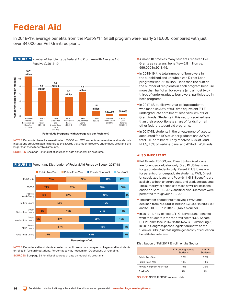### <span id="page-15-0"></span>**Federal Aid**

In 2018-19, average benefits from the Post-9/11 GI Bill program were nearly \$16,000, compared with just over \$4,000 per Pell Grant recipient.



**Federal Aid Programs (with Average Aid per Recipient)** 

NOTES: Data on tax benefits are estimated. FSEOG and FWS amounts represent federal funds only. Institutions provide matching funds so the awards that students receive under these programs are larger than these federal aid amounts.

SOURCES: See page 34 for a list of sources of data on federal aid programs.



**FIGURE 8** Percentage Distribution of Federal Aid Funds by Sector, 2017-18

**Percentage of Aid** 

NOTES: Excludes aid to students enrolled in public less-than-two-year colleges and to students enrolled in foreign institutions. Percentages may not sum to 100 because of rounding. SOURCES: See page 34 for a list of sources of data on federal aid programs.

- Almost 10 times as many students received Pell Grants as veterans' benefits—6.8 million vs. 699,000 in 2018-19.
- In 2018-19, the total number of borrowers in the subsidized and unsubsidized Direct Loan programs was 7.6 million—less than the sum of the number of recipients in each program because more than half of all borrowers (and almost twothirds of undergraduate borrowers) participated in both programs.
- In 2017-18, public two-year college students, who made up 32% of full-time equivalent (FTE) undergraduate enrollment, received 33% of Pell Grant funds. Students in this sector received less than their proportionate share of funds from all other federal student aid programs.
- In 2017-18, students in the private nonprofit sector accounted for 19% of undergraduate and 22% of total FTE enrollment. They received 68% of Grad PLUS, 45% of Perkins loans, and 42% of FWS funds.

### **ALSO IMPORTANT:**

- **Pell Grants, FSEOG, and Direct Subsidized loans** are for undergraduates only. Grad PLUS loans are for graduate students only. Parent PLUS loans are for parents of undergraduate students. FWS, Direct Unsubsidized loans, and Post-9/11 GI Bill benefits are available to both undergraduate and graduate students. The authority for schools to make new Perkins loans ended on Sept. 30, 2017, and final disbursements were permitted through June 30, 2018.
- **The number of students receiving FWS funds** declined from 744,000 in 1998 to 678,000 in 2008-09 and to 613,000 in 2018-19. (Table 5 online)
- In 2012-13, 41% of Post-9/11 GI Bill veterans' benefits went to students in the for-profit sector (U.S. Senate HELP Committee, 2014, "Is the New G.I. Bill Working?"). In 2017, Congress passed legislation known as the "Forever GI Bill," increasing the generosity of education benefits for veterans.

#### Distribution of Fall 2017 Enrollment by Sector

|                             | <b>FTE Undergraduate</b><br><b>Students</b> | All FTE<br><b>Students</b> |
|-----------------------------|---------------------------------------------|----------------------------|
| Public Two-Year             | 32%                                         | 27%                        |
| Public Four-Year            | 43%                                         | 44%                        |
| Private Nonprofit Four-Year | 19%                                         | <b>22%</b>                 |
| For-Profit                  | 7%                                          | 7%                         |

SOURCE: NCES, IPEDS Enrollment data.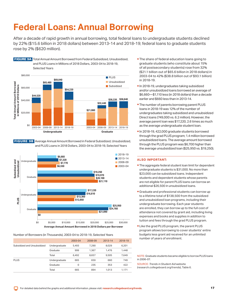# <span id="page-16-0"></span>**Federal Loans: Annual Borrowing**

After a decade of rapid growth in annual borrowing, total federal loans to undergraduate students declined by 22% (\$15.6 billion in 2018 dollars) between 2013-14 and 2018-19; federal loans to graduate students rose by 2% (\$620 million).



 FIGURE 9B Average Annual Amount Borrowed in Federal Subsidized, Unsubsidized, and PLUS Loans in 2018 Dollars, 2003-04 to 2018-19, Selected Years



#### Number of Borrowers (in Thousands), 2003-04 to 2018-19, Selected Years

|                             |               | 2003-04 | 2008-09 | 2013-14 | 2018-19 |
|-----------------------------|---------------|---------|---------|---------|---------|
| Subsidized and Unsubsidized | Undergraduate | 5.493   | 7.290   | 8.029   | 6.201   |
|                             | Graduate      | 999     | 1.367   | 1.476   | 1.448   |
|                             | Total         | 6.492   | 8.657   | 9.505   | 7.649   |
| <b>PLUS</b>                 | Undergraduate | 665     | 659     | 660     | 749     |
|                             | Graduate      | 0       | 235     | 353     | 422     |
|                             | Total         | 665     | 894     | 1.013   | 1.171   |

- **The share of federal education loans going to** graduate students (who constitute about 15% of all postsecondary students) rose from 32% (\$21.1 billion out of \$65.6 billion in 2018 dollars) in 2003-04 to 42% (\$38.8 billion out of \$93.1 billion) in 2018-19.
- In 2018-19, undergraduates taking subsidized and/or unsubsidized loans borrowed an average of \$6,660—\$1,110 less (in 2018 dollars) than a decade earlier and \$660 less than in 2013-14.
- **The number of parents borrowing parent PLUS** loans in 2018-19 was 12% of the number of undergraduates taking subsidized and unsubsidized Direct loans (749,000 vs. 6.2 million). However, the average parent loan was \$17,220, 2.6 times as much as the average undergraduate student loan.
- In 2018-19, 422,000 graduate students borrowed through the grad PLUS program; 1.4 million borrowed unsubsidized loans. The average amount borrowed through the PLUS program was \$6,700 higher than the average unsubsidized loan (\$25,950 vs. \$19,250).

#### **ALSO IMPORTANT:**

- **The aggregate federal student loan limit for dependent** undergraduate students is \$31,000. No more than \$23,000 can be subsidized loans. Independent students and dependent students whose parents are not eligible for parent PLUS loans can borrow an additional \$26,500 in unsubsidized loans.
- Graduate and professional students can borrow up to a lifetime total of \$138,500 from the subsidized and unsubsidized loan programs, including their undergraduate borrowing. Each year students are enrolled, they can borrow up to the full cost of attendance not covered by grant aid, including living expenses and books and supplies in addition to tuition and fees through the grad PLUS program.
- **Like the grad PLUS program, the parent PLUS** program allows borrowing to cover students' entire budgets less grant aid received for an unlimited number of years of enrollment.

NOTE: Graduate students became eligible to borrow PLUS loans in 2006-07.

 [\(research.collegeboard.org/trends\)](http://research.collegeboard.org/trends), Table 6. SOURCE: *Trends in Student Aid* website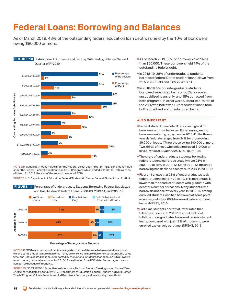### <span id="page-17-0"></span>**Federal Loans: Borrowing and Balances**

As of March 2019, 43% of the outstanding federal education loan debt was held by the 10% of borrowers owing \$80,000 or more.

### FIGURE 10 Distribution of Borrowers and Debt by Outstanding Balance, Second Quarter of FY2019



NOTES: Includes both loans made under the Federal Direct Loan Program (FDLP) and loans made under the Federal Family Education Loan (FFEL) Program, which ended in 2009-10. Data were as of March 31, 2019, the end of the second quarter of FY19.

SOURCE: U.S. Department of Education, Federal Student Aid Center, Federal Student Loan Portfolio.

**FIGURE 11** Percentage of Undergraduate Students Borrowing Federal Subsidized and Unsubsidized Student Loans, 2008-09, 2013-14, and 2018-19



**Percentage of Undergraduate Students** 

NOTES: IPEDS headcount enrollments are adjusted for the difference between total headcount, which counts students more than once if they are enrolled in more than one institution at the same time, and unduplicated headcount reported by the National Student Clearinghouse (NSC). Twelvemonth undergraduate headcount for 2018-19 is estimated from NSC data. Percentages may not sum to 100 because of rounding.

SOURCES: NCES, IPEDS 12-month enrollment data; National Student Clearinghouse, *Current Term Enrollment Estimates: Spring 2019;* U.S. Department of Education, Federal Student Aid Data Center, Title IV Program Volume Reports and Aid Recipients Summary; calculations by the authors.

- **As of March 2019, 55% of borrowers owed less** than \$20,000. These borrowers held 14% of the outstanding federal debt.
- In 2018-19, 28% of undergraduate students borrowed Federal Direct student loans, down from 31% in 2008-09 and 34% in 2013-14.
- In 2018-19, 5% of undergraduate students borrowed subsidized loans only, 5% borrowed unsubsidized loans only, and 18% borrowed from both programs. In other words, about two-thirds of the 28% who borrowed Direct student loans took both subsidized and unsubsidized loans.

- Federal student loan default rates are highest for borrowers with low balances. For example, among borrowers entering repayment in 2010-11, the threeyear default rate ranged from 24% for those owing \$5,000 or less to 7% for those owing \$40,000 or more. Two-thirds of those who defaulted owed \$10,000 or less. (*Trends in Student Aid 2016*, Figure 12B)
- **The share of undergraduate students borrowing** federal student loans rose steadily from 23% in 2001-02 to 38% in 2011-12. Since 2011-12, the share borrowing has declined each year, to 28% in 2018-19.
- **Figure 11 shows that 28% of undergraduates took** federal student loans in 2018-19. This percentage is lower than the share of students who graduate with debt for a number of reasons. Many students who borrow do not borrow every year. In 2015-16, among enrolled students who had borrowed at some point as undergraduates, 66% borrowed federal student loans. (NPSAS, 2016)
- **Part-time students borrow at lower rates than** full-time students. In 2015-16, about half of all full-time undergraduates borrowed federal student loans, compared with just 18% of those who were enrolled exclusively part time. (NPSAS, 2016)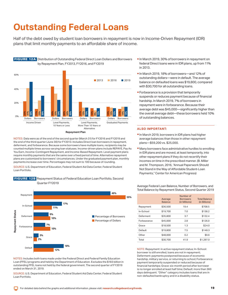### <span id="page-18-0"></span>**Outstanding Federal Loans**

Half of the debt owed by student loan borrowers in repayment is now in Income-Driven Repayment (IDR) plans that limit monthly payments to an affordable share of income.



NOTES: Data were as of the end of the second quarter (March 31) for FY2016 and FY2019 and the end of the third quarter (June 30) for FY2013. Includes Direct loan borrowers in repayment, deferment, and forbearance. Because some borrowers have multiple loans, recipients may be counted multiple times across varying loan statuses. Income-driven plans include REPAYE, Pay As You Earn, Income-Contingent Repayment, and Income-Based Repayment. Level payment plans require monthly payments that are the same over a fixed period of time. Alternative repayment plans are customized to borrowers' circumstances. Under the graduated payment plan, monthly payments increase over time. Percentages may not sum to 100 because of rounding.

SOURCE: U.S. Department of Education, Federal Student Aid Data Center, Federal Student Loan Portfolio.



 FIGURE 12B Repayment Status of Federal Education Loan Portfolio, Second Quarter FY2019

NOTES: Includes both loans made under the Federal Direct and Federal Family Education Loan (FFEL) programs and held by the Department of Education. Excludes the \$183 billion in outstanding FFEL loans not held by the federal government. The second quarter of FY2019 ended on March 31, 2019.

SOURCE: U.S. Department of Education, Federal Student Aid Data Center, Federal Student Loan Portfolio.

- In March 2019, 30% of borrowers in repayment on federal Direct loans were in IDR plans, up from 11% in 2013.
- In March 2019, 18% of borrowers—and 12% of outstanding dollars—were in default. The average balance on defaulted loans was \$19,800, compared with \$30,700 for all outstanding loans.
- average debt was \$45,000—significantly higherthan **Forbearance is a provision that temporarily** suspends or reduces payment because of financial hardship. In March 2019, 7% of borrowers in repayment were in forbearance. Because their the overall average debt—these borrowers held 10% of outstanding balances.

### **ALSO IMPORTANT:**

- In March 2019, borrowers in IDR plans had higher average balances than those in other repayment plans—\$59,200 vs. \$25,000.
- Many borrowers face administrative hurdles to enrolling in IDR plans and are moved, at least temporarily, into other repayment plans if they do not recertify their incomes on time in the prescribed manner. (B. Miller and M. Thompson, 2016, "Annual Paperwork Should Not Stand in the Way of Affordable Student-Loan Payments," Center for American Progress)

Average Federal Loan Balance, Number of Borrowers, and Total Balance by Repayment Status, Second Quarter 2019

|             | Average<br><b>Balance</b> | Number of<br><b>Borrowers</b><br>(in Millions) | <b>Total Balance</b><br>(in Billions) |
|-------------|---------------------------|------------------------------------------------|---------------------------------------|
| Repayment   | \$36,500                  | 19.4                                           | \$708.5                               |
| In-School   | \$19,700                  | 7.0                                            | \$138.2                               |
| Deferment   | \$35,800                  | 3.7                                            | \$132.4                               |
| Forbearance | \$45,000                  | 2.8                                            | \$126.0                               |
| Grace       | \$18,500                  | 1.3                                            | \$24.0                                |
| Default     | \$19,800                  | 7.5                                            | \$148.3                               |
| Other       | \$48,000                  | 0.2                                            | \$9.6                                 |
| Total       | \$30,700                  | 41.9                                           | \$1,287.0                             |

NOTE: Repayment: in active repayment status; In-School: borrower is still enrolled, loans are not in repayment; Deferment: payments postponed because of economic hardship, military service, or returning to school; Forbearance: payment temporarily suspended or reduced because of financial hardships; Grace: six-month period after borrower is no longer enrolled at least half time; Default: more than 360 days delinquent. "Other" category includes loans that are in non-defaulted bankruptcy and in a disability status.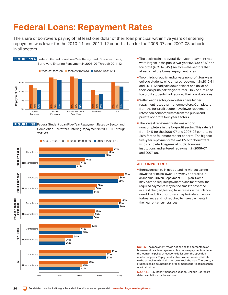# <span id="page-19-0"></span>**Federal Loans: Repayment Rates**

The share of borrowers paying off at least one dollar of their loan principal within five years of entering repayment was lower for the 2010-11 and 2011-12 cohorts than for the 2006-07 and 2007-08 cohorts in all sectors.



**FIGURE 13B** Federal Student Loan Five-Year Repayment Rates by Sector and Completion, Borrowers Entering Repayment in 2006-07 Through 2011-12



- **The declines in the overall five-year repayment rates** were largest in the public two-year (54% to 43%) and for-profit (43% to 34%) sectors—the sectors that already had the lowest repayment rates.
- **Two-thirds of public and private nonprofit four-year** college students who entered repayment in 2010-11 and 2011-12 had paid down at least one dollar of their loan principal five years later. Only one-third of for-profit students had reduced their loan balances.
- Within each sector, completers have higher repayment rates than noncompleters. Completers from the for-profit sector have lower repayment rates than noncompleters from the public and private nonprofit four-year sectors.
- **The lowest repayment rate was among** noncompleters in the for-profit sector. This rate fell from 34% for the 2006-07 and 2007-08 cohorts to 26% for the four more recent cohorts. The highest five-year repayment rate was 85% for borrowers who completed degrees at public four-year institutions and entered repayment in 2006-07 and 2007-08.

### **ALSO IMPORTANT:**

**Borrowers can be in good standing without paying** down the principal owed. They may be enrolled in an Income-Driven Repayment (IDR) plan. Some may have no required payments, and for others, the required payments may be too small to cover the interest charged, leading to increases in the balance owed. In addition, borrowers may be in deferment or forbearance and not required to make payments in their current circumstances.

NOTES: The repayment rate is defined as the percentage of borrowers in each repayment cohort whose payments reduced the loan principal by at least one dollar after the specified number of years. Repayment status on each loan is attributed to the school for which the borrower took the loan. Therefore, a student can be counted in the repayment cohorts of more than one institution.

SOURCES: U.S. Department of Education, College Scorecard data; calculations by the authors.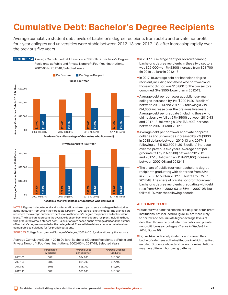# <span id="page-20-0"></span>**Cumulative Debt: Bachelor's Degree Recipients**

Average cumulative student debt levels of bachelor's degree recipients from public and private nonprofit four-year colleges and universities were stable between 2012-13 and 2017-18, after increasing rapidly over the previous five years.







NOTES: Figures include federal and nonfederal loans taken by students who began their studies at the institution from which they graduated. Parent PLUS loans are not included. The orange bars represent the average cumulative debt levels of bachelor's degree recipients who took student loans. The blue bars represent the average debt per bachelor's degree recipient, including those who graduated without student debt. Calculations are based on the average debt and the number

of bachelor's degrees awarded at the college level. The available data are not adequate to allow comparable calculations for for-profit institutions. SOURCES: College Board, Annual Survey of Colleges, 2003 to 2018; calculations by the authors.

Average Cumulative Debt in 2018 Dollars: Bachelor's Degree Recipients at Public and Private Nonprofit Four-Year Institutions: 2002-03 to 2017-18, Selected Years

|         | Percentage<br>with Debt | Average Debt<br>per Borrower | Average Debt per<br>Graduate |
|---------|-------------------------|------------------------------|------------------------------|
| 2002-03 | 56%                     | \$24,200                     | \$13,500                     |
| 2007-08 | 58%                     | \$24,700                     | \$14,400                     |
| 2012-13 | 60%                     | \$28,700                     | \$17,300                     |
| 2017-18 | 58%                     | \$29,000                     | \$16,800                     |

- In 2017-18, average debt per borrower among bachelor's degree recipients in these two sectors was \$29,000—a 1% (\$300) increase from \$28,700 (in 2018 dollars) in 2012-13.
- In 2017-18, average debt per bachelor's degree recipient, including both those who borrowed and those who did not, was \$16,800 for the two sectors combined, 3% (\$500) lower than in 2012-13.
- Average debt per borrower at public four-year colleges increased by 1% (\$200 in 2018 dollars) between 2012-13 and 2017-18, following a 21% (\$4,600) increase over the previous five years. Average debt per graduate (including those who did not borrow) fell by 3% (\$500) between 2012-13 and 2017-18, following a 28% (\$3,500) increase between 2007-08 and 2012-13.
- Average debt per borrower at private nonprofit colleges and universities increased by 2% (\$800 in 2018 dollars) between 2012-13 and 2017-18, following a 13% (\$3,700 in 2018 dollars) increase over the previous five years. Average debt per graduate fell by 2% (\$500) between 2012-13 and 2017-18, following an 11% (\$2,100) increase between 2007-08 and 2012-13.
- **The share of public four-year bachelor's degree** recipients graduating with debt rose from 53% in 2002-03 to 59% in 2012-13, but fell to 57% in 2017-18. The share of private nonprofit four-year bachelor's degree recipients graduating with debt rose from 63% in 2002-03 to 65% in 2007-08, but fell to 61% over the following decade.

- **Students who earn their bachelor's degrees at for-profit**  nonprofit four-year colleges. (*Trends in Student Aid*  institutions, not included in Figure 14, are more likely to borrow and accumulate higher average levels of debt than those who graduate from public and private *2018,* Figure 16)
- **Figure 14 includes only students who earned their** bachelor's degrees at the institutions in which they first enrolled. Students who attend two or more institutions may have different borrowing patterns.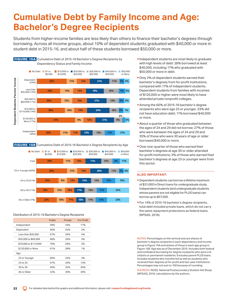# <span id="page-21-0"></span>**Cumulative Debt by Family Income and Age: Bachelor's Degree Recipients**

Students from higher-income families are less likely than others to finance their bachelor's degrees through borrowing. Across all income groups, about 10% of dependent students graduated with \$40,000 or more in student debt in 2015-16, and about half of these students borrowed \$50,000 or more.



FIGURE 15B Cumulative Debt of 2015-16 Bachelor's Degree Recipients by Age



### Distribution of 2015-16 Bachelor's Degree Recipients

|                       | <b>Public</b> | Private | For-Profit |
|-----------------------|---------------|---------|------------|
| Independent           | 58%           | 24%     | 17%        |
| Dependent             | 66%           | 32%     | 2%         |
| Less than \$35,000    | 67%           | 29%     | 4%         |
| \$35,000 to \$69,999  | 68%           | 29%     | 3%         |
| \$70,000 to \$119,999 | 70%           | 28%     | 2%         |
| \$120,000 or More     | 61%           | 38%     | 1%         |
| Age                   |               |         |            |
| 23 or Younger         | 66%           | 32%     | 3%         |
| 24 to 29              | 67%           | 20%     | 13%        |
| 30 to 39              | 49%           | 25%     | 26%        |
| 40 or Older           | 42%           | 30%     | 29%        |

- Independent students are most likely to graduate with high levels of debt: 28% borrowed at least \$40,000, including 17% who graduated with \$50,000 or more in debt.
- Only 2% of dependent students earned their bachelor's degrees from for-profit institutions, compared with 17% of independent students. Dependent students from families with incomes of \$120,000 or higher were most likely to have attended private nonprofit colleges.
- **Among the 60% of 2015-16 bachelor's degree** recipients who were age 23 or younger, 33% did not have education debt; 11% borrowed \$40,000 or more.
- **About a quarter of those who graduated between** the ages of 24 and 29 did not borrow; 27% of those who were between the ages of 24 and 29 and 35% of those who were 30 years of age or older borrowed \$40,000 or more.
- **Over one-quarter of those who earned their** bachelor's degrees at age 30 or older attended for-profit institutions; 3% of those who earned their bachelor's degrees at age 23 or younger were from this sector.

#### **ALSO IMPORTANT:**

- **Dependent students can borrow a lifetime maximum** of \$31,000 in Direct loans for undergraduate study. Independent students (and undergraduate students whose parents are not eligible for PLUS loans) can borrow up to \$57,500.
- **For 14% of 2015-16 bachelor's degree recipients,** total debt included private loans, which do not carry the same repayment protections as federal loans. (NPSAS, 2016).

NOTES: Percentages on the vertical axis are shares of bachelor's degree recipients in each dependency and income group in Figure 15A and shares of those in each age group in Figure 15B. Age was as of December 2015. Includes both federal and nonfederal borrowing for degree recipients who were U.S. citizens or permanent residents. Excludes parent PLUS loans. Includes students who transferred as well as students who received their degrees at for-profit and two-year institutions. Percentages may not sum to 100 because of rounding.

SOURCES: NCES, National Postsecondary Student Aid Study (NPSAS), 2016; calculations by the authors.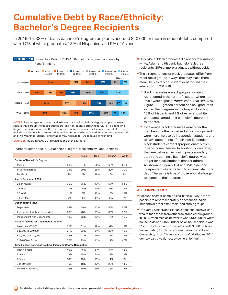### <span id="page-22-0"></span>**Cumulative Debt by Race/Ethnicity: Bachelor's Degree Recipients**

In 2015-16, 33% of black bachelor's degree recipients accrued \$40,000 or more in student debt, compared with 17% of white graduates, 13% of Hispanics, and 9% of Asians.



NOTES: Percentages on the vertical axis are shares of bachelor's degree recipients in each racial/ethnic group. Includes both federal and nonfederal borrowing for 2015-16 bachelor's degree recipients who were U.S. citizens or permanent residents. Excludes parent PLUS loans. Includes students who transferred as well as students who received their degrees at for-profit and two-year institutions. Percentages may not sum to 100 because of rounding.

SOURCES: NCES, NPSAS, 2016; calculations by the authors.

Characteristics of 2015-16 Bachelor's Degree Recipients by Race/Ethnicity

|                                                             | All | Asian | <b>Black</b> | Hispanic | White |
|-------------------------------------------------------------|-----|-------|--------------|----------|-------|
| <b>Sector of Bachelor's Degree</b>                          |     |       |              |          |       |
| <b>Public</b>                                               | 63% | 64%   | 56%          | 65%      | 63%   |
|                                                             |     |       |              |          |       |
| Private Nonprofit                                           | 28% | 29%   | 26%          | 22%      | 30%   |
| For-Profit                                                  | 9%  | 7%    | 18%          | 12%      | 7%    |
| Age in December 2015                                        |     |       |              |          |       |
| 23 or Younger                                               | 60% | 65%   | 47%          | 55%      | 64%   |
| 24 to 29                                                    | 21% | 25%   | 23%          | 26%      | 19%   |
| 30 to 39                                                    | 11% | 6%    | 16%          | 13%      | 11%   |
| 40 or Older                                                 | 7%  | 4%    | 14%          | 6%       | 6%    |
| <b>Dependency Status</b>                                    |     |       |              |          |       |
| Dependent                                                   | 54% | 59%   | 42%          | 50%      | 57%   |
| Independent Without Dependents                              | 28% | 28%   | 29%          | 30%      | 27%   |
| Independent with Dependents                                 | 18% | 13%   | 29%          | 19%      | 16%   |
| <b>Parents' Income for Dependent Students</b>               |     |       |              |          |       |
| Less than \$35,000                                          | 22% | 32%   | 49%          | 37%      | 13%   |
| \$35,000 to \$69,999                                        | 21% | 23%   | 24%          | 29%      | 18%   |
| \$70,000 to \$119,999                                       | 25% | 21%   | 16%          | 17%      | 29%   |
| \$120,000 or More                                           | 32% | 23%   | 11%          | 17%      | 40%   |
| Time Elapsed Between First Enrollment and Degree Completion |     |       |              |          |       |
| Within 4 Years                                              | 40% | 45%   | 31%          | 34%      | 43%   |
| 5 Years                                                     | 18% | 15%   | 14%          | 19%      | 19%   |
| 6 Years                                                     | 10% | 13%   | 11%          | 11%      | 9%    |
| 7 to 10 Years                                               | 16% | 18%   | 17%          | 20%      | 14%   |
| More than 10 Years                                          | 16% | 10%   | 26%          | 16%      | 15%   |
|                                                             |     |       |              |          |       |

- Only 14% of black graduates did not borrow. Among white, Asian, and Hispanic bachelor's degree recipients, 30% or more graduated without debt.
- **The circumstances of black graduates differ from** other racial groups in ways that may make them more likely to rely on student debt to fund their education. In 2015-16:
	- $\bullet$  Black graduates were disproportionately represented in the for-profit sector, where debt levels were highest (*Trends in Student Aid 2018,*  Figure 16). Eighteen percent of black graduates earned their degrees in the for-profit sector; 12% of Hispanic and 7% of Asian and white graduates earned their bachelor's degrees in this sector.
	- On average, black graduates were older than members of other racial and ethnic groups and were more likely to be independent students and to have dependents of their own. Dependent black students came disproportionately from lower-income families. In addition, on average, the time between beginning postsecondary study and earning a bachelor's degree was longer for black students than for others. As shown in Figures 15A and 15B, older and independent students tend to accumulate more debt. The same is true of those who take longer to complete their degrees.

- **Because of small sample sizes in this survey, it is not** possible to report separately on American Indian students or other small racial and ethnic groups.
- **On average, black and Hispanic households have less** wealth than those from other racial and ethnic groups. In 2014, when median net worth was \$130,800 for white households and \$156,500 for Asian households, it was \$17,500 for Hispanic households and \$9,600 for black households. (U.S. Census Bureau, Wealth and Asset Ownership, https://www.census.gov/data/tables/2014/ demo/wealth/wealth-asset-ownership.html)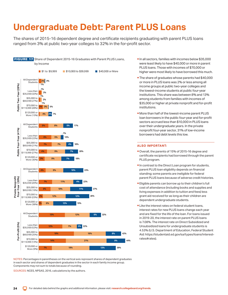# <span id="page-23-0"></span>**Undergraduate Debt: Parent PLUS Loans**

The shares of 2015-16 dependent degree and certificate recipients graduating with parent PLUS loans ranged from 3% at public two-year colleges to 32% in the for-profit sector.



NOTES: Percentages in parentheses on the vertical axis represent shares of dependent graduates in each sector and shares of dependent graduates in the sector in each family income group. Components may not sum to totals because of rounding.

SOURCES: NCES, NPSAS, 2016, calculations by the authors.

In all sectors, families with incomes below \$35,000 were least likely to have \$40,000 or more in parent PLUS loans. Those with incomes of \$70,000 or higher were most likely to have borrowed this much.

**The share of graduates whose parents had \$40,000** or more in PLUS loans was 2% or less among all income groups at public two-year colleges and the lowest-income students at public four-year institutions. This share was between 8% and 13% among students from families with incomes of \$35,000 or higher at private nonprofit and for-profit institutions.

**-More than half of the lowest-income parent PLUS** loan borrowers in the public four-year and for-profit sectors accrued less than \$10,000 in PLUS loans over their undergraduate years. In the private nonprofit four-year sector, 31% of low-income borrowers had debt levels this low.

- Overall, the parents of 15% of 2015-16 degree and certificate recipients had borrowed through the parent PLUS program.
- In contrast to the Direct Loan program for students, parent PLUS loan eligibility depends on financial standing; some parents are ineligible for federal parent PLUS loans because of adverse credit histories.
- Eligible parents can borrow up to their children's full cost of attendance (including books and supplies and living expenses in addition to tuition and fees) less grant aid received for as long as their children are dependent undergraduate students.
- **Like the interest rates on federal student loans,** interest rates for new PLUS loans change each year and are fixed for the life of the loan. For loans issued in 2019-20, the interest rate on parent PLUS loans is 7.08%. The interest rate on Direct Subsidized and Unsubsidized loans for undergraduate students is 4.53% (U.S. Department of Education, Federal Student Aid: https://studentaid.ed.gov/sa/types/loans/interestrates#rates).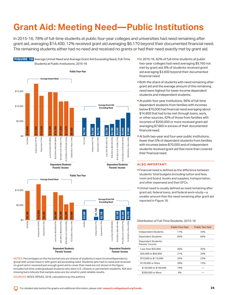# <span id="page-24-0"></span>**Grant Aid: Meeting Need—Public Institutions**

In 2015-16, 78% of full-time students at public four-year colleges and universities had need remaining after grant aid, averaging \$14,400; 12% received grant aid averaging \$6,170 beyond their documented financial need. The remaining students either had no need and received no grants or had their need exactly met by grant aid.







NOTES: Percentages on the horizontal axis are shares of students in each income/dependency group with unmet need or with grant aid exceeding need. Students who had no need and received no grant aid or received just enough grant aid to cover their need are not shown in the figure. Includes full-time undergraduate students who were U.S. citizens or permanent residents. N/A and missing bars indicate that sample sizes are too small to yield reliable results.

SOURCES: NCES, NPSAS, 2016; calculations by the authors.

- In 2015-16, 82% of full-time students at public two-year colleges had need averaging \$9,760 not met by grant aid; 8% of students received grant aid averaging \$3,600 beyond their documented financial need.
- **Both the share of students with need remaining after** grant aid and the average amount of this remaining need were highest for lower-income dependent students and independent students.
- At public four-year institutions, 96% of full-time dependent students from families with incomes below \$70,000 had financial need averaging about \$14,800 that had to be met through loans, work, or other sources; 42% of those from families with incomes of \$200,000 or more received grant aid averaging \$7,860 in excess of their documented financial need.
- At both two-year and four-year public institutions, fewer than 5% of dependent students from families with incomes below \$70,000 and of independent students received grant aid that more than covered their financial need.

### **ALSO IMPORTANT:**

- **Financial need is defined as the difference between** students' total budgets (including tuition and fees, room and board, books and supplies, transportation, and other expenses) and their EFCs.
- **Unmet need is usually defined as need remaining after** grant aid, federal loans, and federal work-study—a smaller amount than the need remaining after grant aid reported in Figure 18.

### Distribution of Full-Time Students, 2015-16

|                                        | <b>Public Four-Year</b> | Public Two-Year |
|----------------------------------------|-------------------------|-----------------|
| <b>Independent Students</b>            | 17%                     | 34%             |
| <b>Dependent Students</b>              | 83%                     | 66%             |
| Dependent Students:<br>Parents' Income |                         |                 |
| Less than \$35,000                     | 26%                     | 35%             |
| \$35,000 to \$69,999                   | 21%                     | 29%             |
| \$70,000 to \$119,999                  | 25%                     | 23%             |
| \$120,000 or More                      | 28%                     | 12%             |
| \$120,000 to \$199,999                 | 19%                     |                 |
| \$200,000 or More                      | 9%                      |                 |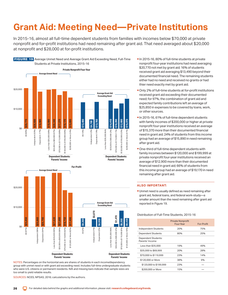# <span id="page-25-0"></span>**Grant Aid: Meeting Need—Private Institutions**

In 2015-16, almost all full-time dependent students from families with incomes below \$70,000 at private nonprofit and for-profit institutions had need remaining after grant aid. That need averaged about \$20,000 at nonprofit and \$28,000 at for-profit institutions.



NOTES: Percentages on the horizontal axis are shares of students in each income/dependency group with unmet need or with grant aid exceeding need. Includes full-time undergraduate students who were U.S. citizens or permanent residents. N/A and missing bars indicate that sample sizes are too small to yield reliable results.

SOURCES: NCES, NPSAS, 2016; calculations by the authors.

- In 2015-16, 80% of full-time students at private nonprofit four-year institutions had need averaging \$20,770 not met by grant aid; 16% of students received grant aid averaging \$13,490 beyond their documented financial need. The remaining students either had no need and received no grants or had thier need exactly met by grant aid.
- Only 2% of full-time students at for-profit institutions received grant aid exceeding their documented need; for 97%, the combination of grant aid and expected family contributions left an average of \$25,850 in expenses to be covered by loans, work, or other sources.
- In 2015-16, 61% of full-time dependent students with family incomes of \$200,000 or higher at private nonprofit four-year institutions received an average of \$15,370 more than their documented financial need in grant aid; 24% of students from this income group had an average of \$15,890 in need remaining after grant aid.
- One-third of full-time dependent students with family incomes between \$120,000 and \$199,999 at private nonprofit four-year institutions received an average of \$12,900 more than their documented financial need in grant aid; 66% of students from this income group had an average of \$19,170 in need remaining after grant aid.

### **ALSO IMPORTANT:**

Unmet need is usually defined as need remaining after grant aid, federal loans, and federal work-study—a smaller amount than the need remaining after grant aid reported in Figure 19.

### Distribution of Full-Time Students, 2015-16

|                                        | <b>Private Nonprofit</b><br>Four-Year | For-Profit |
|----------------------------------------|---------------------------------------|------------|
| Independent Students                   | 20%                                   | 75%        |
| <b>Dependent Students</b>              | 80%                                   | 25%        |
| Dependent Students:<br>Parents' Income |                                       |            |
| Less than \$35,000                     | 19%                                   | 49%        |
| \$35,000 to \$69,999                   | 20%                                   | 28%        |
| \$70,000 to \$119,999                  | 23%                                   | 14%        |
| \$120,000 or More                      | 38%                                   | 9%         |
| \$120,000 to \$199,999                 | 23%                                   |            |
| \$200,000 or More                      | 15%                                   |            |

**FIGURE 19** Average Unmet Need and Average Grant Aid Exceeding Need, Full-Time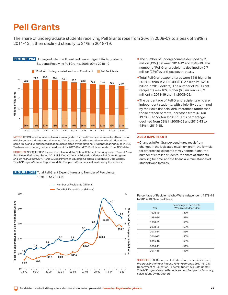### <span id="page-26-0"></span>**Pell Grants**

The share of undergraduate students receiving Pell Grants rose from 26% in 2008-09 to a peak of 38% in 2011-12. It then declined steadily to 31% in 2018-19.



NOTES: IPEDS headcount enrollments are adjusted for the difference between total headcount, which counts students more than once if they are enrolled in more than one institution at the same time, and unduplicated headcount reported by the National Student Clearinghouse (NSC). Twelve-month undergraduate headcount for 2017-18 and 2018-19 is estimated from NSC data.

SOURCES: NCES, IPEDS 12-month enrollment data; National Student Clearinghouse, *Current Term Enrollment Estimates: Spring 2019;* U.S. Department of Education, *Federal Pell Grant Program End-of-Year Report 2017-18;* U.S. Department of Education, Federal Student Aid Data Center, Title IV Program Volume Reports and Aid Recipients Summary; calculations by the authors.

**FIGURE 20B** Total Pell Grant Expenditures and Number of Recipients, 1978-79 to 2018-19



- **The number of undergraduates declined by 2.9** million (12%) between 2011-12 and 2018-19. The number of Pell Grant recipients declined by 2.7 million (28%) over these seven years.
- **Total Pell Grant expenditures were 35% higher in** 2018-19 than in 2008-09 (\$28.2 billion vs. \$21.0 billion in 2018 dollars). The number of Pell Grant recipients was 10% higher (6.8 million vs. 6.2 million) in 2018-19 than in 2008-09.
- **The percentage of Pell Grant recipients who are** independent students, with eligibility determined by their own financial circumstances rather than those of their parents, increased from 37% in 1978-79 to 55% in 1998-99. This percentage declined from 59% in 2008-09 and 2012-13 to 48% in 2017-18.

### **ALSO IMPORTANT:**

 Changes in Pell Grant expenditures result from changes in the legislated maximum grant, the formula for determining expected family contributions, the number of enrolled students, the share of students enrolling full time, and the financial circumstances of students and families.

Percentage of Recipients Who Were Independent, 1978-79 to 2017-18, Selected Years

| Year    | Percentage of Recipients<br>Who Were Independent |  |
|---------|--------------------------------------------------|--|
| 1978-79 | 37%                                              |  |
| 1988-89 | 58%                                              |  |
| 1998-99 | 55%                                              |  |
| 2008-09 | 59%                                              |  |
| 2013-14 | 56%                                              |  |
| 2014-15 | 55%                                              |  |
| 2015-16 | 53%                                              |  |
| 2016-17 | 51%                                              |  |
| 2017-18 | 48%                                              |  |

SOURCES: U.S. Department of Education, *Federal Pell Grant Program End-of-Year Report, 1978-79 through 2017-18*; U.S. Department of Education, Federal Student Aid Data Center, Title IV Program Volume Reports and Aid Recipients Summary; calculations by the authors.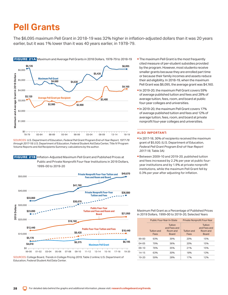### <span id="page-27-0"></span>**Pell Grants**

The \$6,095 maximum Pell Grant in 2018-19 was 32% higher in inflation-adjusted dollars than it was 20 years earlier, but it was 1% lower than it was 40 years earlier, in 1978-79.



SOURCES: U.S. Department of Education, *Federal Pell Grant Program End-of-Year Report, 1977-78 through 2017-18;* U.S. Department of Education, Federal Student Aid Data Center, Title IV Program Volume Reports and Aid Recipients Summary; calculations by the author.





SOURCES: College Board, *Trends in College Pricing 2019*, Table 2 online; U.S. Department of Education, Federal Student Aid Data Center.

- **The maximum Pell Grant is the most frequently** cited measure of per-student subsidies provided by the program. However, most students receive smaller grants because they are enrolled part time or because their family incomes and assets reduce their aid eligibility. In 2018-19, when the maximum Pell Grant was \$6,095, the average grant was \$4,160.
- In 2019-20, the maximum Pell Grant covers 59% of average published tuition and fees and 28% of average tuition, fees, room, and board at public four-year colleges and universities.
- In 2019-20, the maximum Pell Grant covers 17% of average published tuition and fees and 12% of average tuition, fees, room, and board at private nonprofit four-year colleges and universities.

### **ALSO IMPORTANT:**

- In 2017-18, 30% of recipients received the maximum grant of \$5,920. (U.S. Department of Education, *Federal Pell Grant Program End-of-Year Report 2017-18*, Table 3A)
- Between 2009-10 and 2019-20, published tuition and fees increased by 2.2% per year at public fouryear institutions and by 1.9% at private nonprofit institutions, while the maximum Pell Grant fell by 0.3% per year after adjusting for inflation.

Maximum Pell Grant as a Percentage of Published Prices in 2019 Dollars, 1999-00 to 2019-20, Selected Years

|           |                            | <b>Public Four-Year In-State</b>                           | Private Nonprofit Four-Year |                                                     |  |
|-----------|----------------------------|------------------------------------------------------------|-----------------------------|-----------------------------------------------------|--|
|           | <b>Tuition and</b><br>Fees | <b>Tuition</b><br>and Fees and<br>Room and<br><b>Board</b> | <b>Tuition and</b><br>Fees  | Tuition<br>and Fees and<br>Room and<br><b>Board</b> |  |
| $99-00$   | 93%                        | 39%                                                        | 20%                         | 15%                                                 |  |
| $04 - 05$ | 79%                        | 36%                                                        | 20%                         | 15%                                                 |  |
| $09-10$   | 76%                        | 35%                                                        | 21%                         | 15%                                                 |  |
| $14 - 15$ | 63%                        | 30%                                                        | 18%                         | 13%                                                 |  |
| $19 - 20$ | 59%                        | 28%                                                        | 17%                         | 12%                                                 |  |

FIGURE 21A Maximum and Average Pell Grants in 2018 Dollars, 1978-79 to 2018-19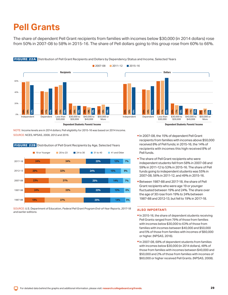### <span id="page-28-0"></span>**Pell Grants**

The share of dependent Pell Grant recipients from families with incomes below \$30,000 (in 2014 dollars) rose from 50% in 2007-08 to 58% in 2015-16. The share of Pell dollars going to this group rose from 60% to 66%.



### FIGURE 22A Distribution of Pell Grant Recipients and Dollars by Dependency Status and Income, Selected Years

NOTE: Income levels are in 2014 dollars; Pell eligibility for 2015-16 was based on 2014 income. SOURCE: NCES, NPSAS, 2008, 2012 and 2016.

**FIGURE 22B** Distribution of Pell Grant Recipients by Age, Selected Years



SOURCE: U.S. Department of Education, *Federal Pell Grant Program End-of-Year Reports, 2017-18 and earlier editions.*

- In 2007-08, the 15% of dependent Pell Grant recipients from families with incomes above \$50,000 received 8% of Pell funds; in 2015-16, the 14% of recipients with incomes this high received 8% of Pell funds.
- **The share of Pell Grant recipients who were** independent students fell from 58% in 2007-08 and 59% in 2011-12 to 53% in 2015-16. The share of Pell funds going to independent students was 55% in 2007-08, 56% in 2011-12, and 49% in 2015-16.
- Between 1987-88 and 2017-18, the share of Pell Grant recipients who were age 19 or younger fluctuated between 19% and 24%. The share over the age of 30 rose from 19% to 24% between 1987-88 and 2012-13, but fell to 19% in 2017-18.

- In 2015-16, the share of dependent students receiving Pell Grants ranged from 79% of those from families with incomes below \$30,000 to 63% of those from families with incomes between \$40,000 and \$50,000 and 5% of those from families with incomes of \$60,000 or higher. (NPSAS, 2016).
- In 2007-08, 68% of dependent students from families with incomes below \$30,000 (in 2014 dollars), 48% of those from families with incomes between \$40,000 and \$50,000 and 2% of those from families with incomes of \$60,000 or higher received Pell Grants. (NPSAS, 2008).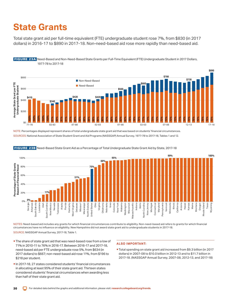# <span id="page-29-0"></span>**State Grants**

Total state grant aid per full-time equivalent (FTE) undergraduate student rose 7%, from \$830 (in 2017 dollars) in 2016-17 to \$890 in 2017-18. Non-need-based aid rose more rapidly than need-based aid.



 FIGURE 23A Need-Based and Non-Need-Based State Grants per Full-Time Equivalent (FTE) Undergraduate Student in 2017 Dollars, 1977-78 to 2017-18

NOTE: Percentages displayed represent shares of total undergraduate state grant aid that was based on students' financial circumstances. SOURCES: National Association of State Student Grant and Aid Programs (NASSGAP) Annual Survey, 1977-78 to 2017-18, Tables 1 and 12.



FIGURE 23B Need-Based State Grant Aid as a Percentage of Total Undergraduate State Grant Aid by State, 2017-18

NOTES: Need-based aid includes any grants for which financial circumstances contribute to eligibility. Non-need-based aid refers to grants for which financial circumstances have no influence on eligibility. New Hampshire did not award state grant aid to undergraduate students in 2017-18. SOURCE: NASSGAP Annual Survey, 2017-18, Table 1.

- **The share of state grant aid that was need-based rose from a low of** 71% in 2010-11 to 76% in 2016-17. Between 2016-17 and 2017-18, need-based aid per FTE undergraduate rose 5%, from \$634 (in 2017 dollars) to \$667; non-need-based aid rose 11%, from \$196 to \$218 per student.
- In 2017-18, 27 states considered students' financial circumstances in allocating at least 95% of their state grant aid. Thirteen states considered students' financial circumstances when awarding less than half of their state grant aid.

### **ALSO IMPORTANT:**

Total spending on state grant aid increased from \$9.3 billion (in 2017 dollars) in 2007-08 to \$10.0 billion in 2012-13 and to \$11.7 billion in 2017-18. (NASSGAP Annual Survey, 2007-08, 2012-13, and 2017-18)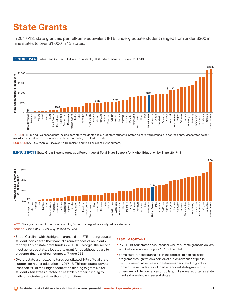# <span id="page-30-0"></span>**State Grants**

In 2017-18, state grant aid per full-time equivalent (FTE) undergraduate student ranged from under \$200 in nine states to over \$1,000 in 12 states.



### FIGURE 24A State Grant Aid per Full-Time Equivalent (FTE) Undergraduate Student, 2017-18

NOTES: Full-time equivalent students include both state residents and out-of-state students. States do not award grant aid to nonresidents. Most states do not award state grant aid to their residents who attend colleges outside the state.

SOURCES: NASSGAP Annual Survey, 2017-18, Tables 1 and 12; calculations by the authors.



### FIGURE 24B State Grant Expenditures as a Percentage of Total State Support for Higher Education by State, 2017-18

NOTE: State grant expenditures include funding for both undergraduate and graduate students.

SOURCE: NASSGAP Annual Survey, 2017-18, Table 14.

- South Carolina, with the highest grant aid per FTE undergraduate student, considered the financial circumstances of recipients for only 17% of state grant funds in 2017-18. Georgia, the second most generous state, allocates its grant funds without regard to students' financial circumstances. (Figure 23B)
- Overall, state grant expenditures constituted 14% of total state support for higher education in 2017-18. Thirteen states devoted less than 5% of their higher education funding to grant aid for students; ten states directed at least 20% of their funding to individual students rather than to institutions.

- In 2017-18, four states accounted for 41% of all state grant aid dollars, with California accounting for 18% of the total.
- Some state-funded grant aid is in the form of "tuition set-aside" programs through which a portion of tuition revenues at public institutions—or of increases in tuition—is dedicated to grant aid. Some of these funds are included in reported state grant aid, but others are not. Tuition remission dollars, not always reported as state grant aid, are sizable in several states.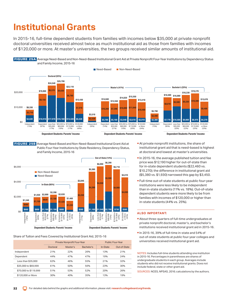# <span id="page-31-0"></span>**Institutional Grants**

In 2015-16, full-time dependent students from families with incomes below \$35,000 at private nonprofit doctoral universities received almost twice as much institutional aid as those from families with incomes of \$120,000 or more. At master's universities, the two groups received similar amounts of institutional aid.



 FIGURE 25B Average Need-Based and Non-Need-Based Institutional Grant Aid at Public Four-Year Institutions by State Residency, Dependency Status, and Family Income, 2015-16



#### Share of Tuition and Fees Covered by Institutional Grant Aid, 2015-16

|                       | Private Nonprofit Four-Year |          |            | <b>Public Four-Year</b> |              |
|-----------------------|-----------------------------|----------|------------|-------------------------|--------------|
|                       | Doctoral                    | Master's | Bachelor's | In-State                | Out-of-State |
| Independent           | 21%                         | 22%      | 26%        | 13%                     | 21%          |
| Dependent             | 44%                         | 47%      | 47%        | 19%                     | 24%          |
| Less than \$35,000    | 62%                         | 46%      | 55%        | 21%                     | 32%          |
| \$35,000 to \$69,999  | 61%                         | 50%      | 56%        | 23%                     | 30%          |
| \$70,000 to \$119,999 | 51%                         | 53%      | 52%        | 20%                     | 26%          |
| \$120,000 or More     | 30%                         | 40%      | 35%        | 13%                     | 19%          |

- At private nonprofit institutions, the share of institutional grant aid that is need-based is highest at doctoral and lowest at master's universities.
- In 2015-16, the average published tuition and fee price was \$12,190 higher for out-of-state than for in-state dependent students (\$22,460 vs. \$10,270); the difference in institutional grant aid (\$5,380 vs. \$1,930) narrowed this gap by \$3,450.
- Full-time out-of-state students at public four-year institutions were less likely to be independent than in-state students (11% vs. 18%). Out-of-state dependent students were more likely to be from families with incomes of \$120,000 or higher than in-state students (44% vs. 25%).

### **ALSO IMPORTANT:**

- About three-quarters of full-time undergraduates at private nonprofit doctoral, master's, and bachelor's institutions received institutional grant aid in 2015-16.
- In 2015-16, 39% of full-time in-state and 54% of out-of-state students at public four-year colleges and universities received institutional grant aid.

NOTES: Includes full-time students attending one institution in 2015-16. Percentages in parentheses are shares of undergraduate students in each group. Averages include students who did not receive institutional grants. Does not include federal, state or other grant aid.

SOURCES: NCES, NPSAS, 2016; calculations by the authors.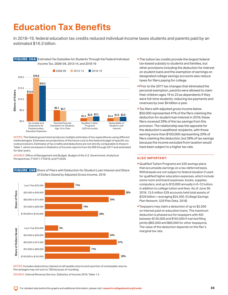### <span id="page-32-0"></span>**Education Tax Benefits**

In 2018-19, federal education tax credits reduced individual income taxes students and parents paid by an estimated \$16.3 billion.



**FIGURE 26A** Estimated Tax Subsidies for Students Through the Federal Individual

NOTES: The federal government produces multiple estimates of tax expenditures using different methodologies. Estimates are projections of the future cost to the federal budget of specific tax code provisions. Estimates of tax credits and deductions are not strictly comparable to those in Table 1, which are based on Statistics of Income reports from the IRS through 2017 and estimated for later years.

SOURCE: Office of Management and Budget, *Budget of the U.S. Government*, Analytical Perspectives, FY2011, FY2016, and FY2020.





- **The tuition tax credits provide the largest federal** tax-based subsidy to students and families, but other provisions including the deduction for interest on student loans and the exemption of earnings on designated college savings accounts also reduce taxes for filers paying for college.
- **Prior to the 2017 tax changes that eliminated the** personal exemption, parents were allowed to claim their children ages 19 to 23 as dependents if they were full-time students, reducing tax payments and revenues by over \$4 billion a year.
- **Tax filers with adjusted gross income below** \$50,000 represented 41% of the filers claiming the deduction for student loan interest in 2016; these filers received 29% of the tax savings from this provision. The relationship was the opposite for the deduction's wealthiest recipients, with those earning more than \$100,000 representing 20% of filers claiming the deduction, but 28% of tax savings because the income excluded from taxation would have been subject to a higher tax rate.

### **ALSO IMPORTANT:**

- Qualified Tuition Programs are 529 savings plans that accumulate earnings on a tax-deferred basis. Withdrawals are not subject to federal taxation if used for qualified higher education expenses, which include some room and board expenses, books, supplies, computers, and up to \$10,000 annually in K–12 tuition, in addition to college tuition and fees. As of June 30, 2018, 13.6 million 529 accounts held total assets of \$329 billion—averaging \$24,200. (College Savings Plan Network, 529 Plan Data, 2018)
- **Taxpayers may claim a deduction of up to \$2,500** on interest paid on education loans. The maximum deduction is phased out for taxpayers with AGI between \$135,000 and \$165,000 if married filing jointly (\$65,000 and \$80,000 for other taxpayers). The value of the deduction depends on the filer's marginal tax rate.

NOTES: Includes deductions claimed on all taxable returns and a portion of nontaxable returns. Percentages may not sum to 100 because of rounding.

SOURCE: Internal Revenue Service, *Statistics of Income 2016*, Table 1.4.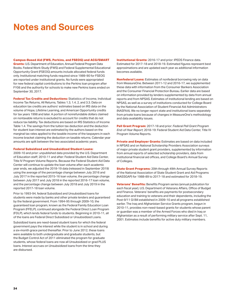### <span id="page-33-0"></span>**Notes and Sources**

**Campus-Based Aid (FWS, Perkins, and FSEOG) and ACG/SMART Grants:** U.S. Department of Education, [Annual Federal Program Data](http://www2.ed.gov/finaid/prof/resources/data/ope.html)  [Books](http://www2.ed.gov/finaid/prof/resources/data/ope.html). Federal Work-Study (FWS) and Federal Supplemental Educational Opportunity Grant (FSEOG) amounts include allocated federal funds only. Institutional matching funds required since 1989-90 for FSEOG are reported under institutional grants. No funds were appropriated for new federal capital contributions to the Perkins loan program after FY06 and the authority for schools to make new Perkins loans ended on September 30, 2017.

**Federal Tax Credits and Deductions:** Statistics of Income, Individual Income Tax Returns, All Returns, Tables 1.3, 1.4, 2, and 3.3. Data on education tax credits are authors' estimates based on IRS data on the volume of Hope, Lifetime Learning, and American Opportunity credits for tax years 1998 and later. A portion of nonrefundable dollars claimed on nontaxable returns is excluded to account for credits that do not reduce tax liability. Tax deductions are based on IRS Statistics of Income Table 1.4. The savings from the tuition tax deduction and the deduction for student loan interest are estimated by the authors based on the marginal tax rates applied to the taxable income of the taxpayers in each income bracket claiming the deduction on taxable returns. Calendar year amounts are split between the two associated academic years.

#### **Federal Subsidized and Unsubsidized Student Loans:**

2009-10 and prior: unpublished data provided by the U.S. Department of Education staff; 2010-11 and after: Federal Student Aid Data Center, Title IV Program Volume Reports. Because the Federal Student Aid Data Center will continue to update the loan volume after each academic year ends, we adjusted the 2018-19 data (released in September 2019) using the average of the percentage change between July 2016 and July 2017 in the reported 2015-16 loan volume, the percentage change between July 2017 and July 2018 in the reported 2016-17 loan volume, and the percentage change between July 2018 and July 2019 in the reported 2017-18 loan volume.

Prior to 1993-94, federal Subsidized and Unsubsidized loans for students were made by banks and other private lenders and guaranteed by the federal government. From 1994-95 through 2009-10, the guaranteed loan program, known as the Federal Family Education Loan Program (FFELP), continued alongside the Federal Direct Loan Program (FDLP), which lends federal funds to students. Beginning in 2010-11, all of the loans are Federal Direct Subsidized or Unsubsidized Loans.

Subsidized loans are need-based student loans for which the federal government pays the interest while the student is in school and during a six-month grace period thereafter. Prior to June 2012, these loans were available to both undergraduate and graduate students, but the Budget Control Act of 2011 eliminated the program for graduate students, whose federal loans are now all Unsubsidized or grad PLUS loans. Interest accrues on Unsubsidized loans from the time they are disbursed.

**Institutional Grants:** 2016-17 and prior: IPEDS Finance data. Estimated for 2017-18 and 2018-19. Estimated figures represent best approximations and are updated each year as additional information becomes available.

**Nonfederal Loans:** Estimates of nonfederal borrowing rely on data from MeasureOne. Between 2011-12 and 2016-17, we supplemented these data with information from the Consumer Bankers Association and the Consumer Financial Protection Bureau. Earlier data are based on information provided by lenders supplemented by data from annual reports and from NPSAS. Estimates of institutional lending are based on NPSAS, as well as a survey of institutions conducted for College Board by the National Association of Student Financial Aid Administrators (NASFAA). We no longer report state and institutional loans separately from private loans because of changes in MeasureOne's methodology and data availability issues.

**Pell Grant Program:** 2017-18 and prior: *Federal Pell Grant Program End-of-Year Report*; 2018-19: Federal Student Aid Data Center, Title IV Program Volume Reports.

**Private and Employer Grants:** Estimates are based on data included in NPSAS and on National Scholarship Providers Association surveys of major private student grant providers, supplemented by information from annual reports of selected scholarship providers, data from institutional financial aid offices, and College Board's Annual Survey of Colleges.

**State Grant Programs:** 20th through 49th Annual Survey Reports of the National Association of State Student Grant and Aid Programs (NASSGAP) for 1988-89 to 2017-18 and estimated for 2018-19.

**Veterans' Benefits:** Benefits Program series (annual publication for each fiscal year), U.S. Department of Veterans Affairs, Office of Budget and Finance. Veterans' benefits are payments for postsecondary education and training to veterans and their dependents, including the Post-9/11 GI Bill established in 2009-10 and all programs established earlier. The Irag and Afghanistan Service Grants program, begun in 2010-11, provides non-need-based grants for students whose parent or guardian was a member of the Armed Forces who died in Iraq or Afghanistan as a result of performing military service after Sept. 11, 2001. Estimates include benefits for active duty military members.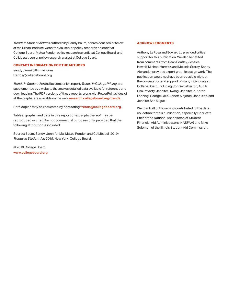*Trends in Student Aid* was authored by Sandy Baum, nonresident senior fellow at the Urban Institute; Jennifer Ma, senior policy research scientist at College Board; Matea Pender, policy research scientist at College Board; and CJ Libassi, senior policy research analyst at College Board.

### **CONTACT INFORMATION FOR THE AUTHORS**

[sandybaum73@gmail.com](mailto:sandybaum73@gmail.com) [trends@collegeboard.org](mailto:trends@collegeboard.org)

*Trends in Student Aid* and its companion report, *Trends in College Pricing*, are supplemented by a website that makes detailed data available for reference and downloading. The PDF versions of these reports, along with PowerPoint slides of all the graphs, are available on the web: **[research.collegeboard.org/trends](http://research.collegeboard.org/trends)**.

Hard copies may be requested by contacting **[trends@collegeboard.org](mailto:trends%40collegeboard.org?subject=)**.

Tables, graphs, and data in this report or excerpts thereof may be reproduced or cited, for noncommercial purposes only, provided that the following attribution is included:

Source: Baum, Sandy, Jennifer Ma, Matea Pender, and CJ Libassi (2019), *Trends in Student Aid 2019,* New York: College Board.

© 2019 College Board. **[www.collegeboard.org](http://www.collegeboard.org)**

### **ACKNOWLEDGMENTS**

Anthony LaRosa and Edward Lu provided critical support for this publication. We also benefited from comments from Dean Bentley, Jessica Howell, Michael Hurwitz, and Melanie Storey. Sandy Alexander provided expert graphic design work. The publication would not have been possible without the cooperation and support of many individuals at College Board, including Connie Betterton, Auditi Chakravarty, Jennifer Hwang, Jennifer Ip, Karen Lanning, George Lalis, Robert Majoros, Jose Rios, and Jennifer San Miguel.

We thank all of those who contributed to the data collection for this publication, especially Charlotte Etier of the National Association of Student Financial Aid Administrators (NASFAA) and Mike Solomon of the Illinois Student Aid Commission.